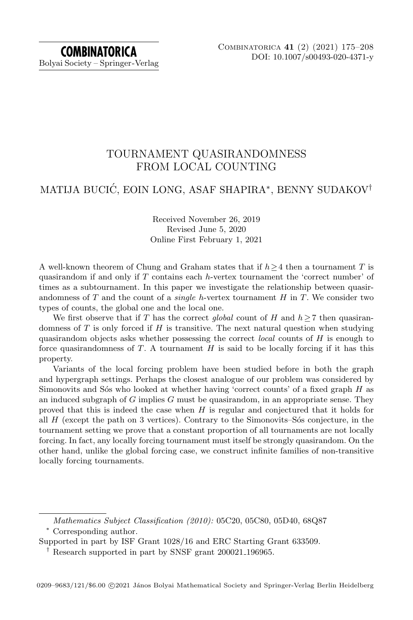# TOURNAMENT QUASIRANDOMNESS FROM LOCAL COUNTING

# MATIJA BUCIĆ, EOIN LONG, ASAF SHAPIRA\*, BENNY SUDAKOV†

### Received November 26, 2019 Revised June 5, 2020 Online First February 1, 2021

A well-known theorem of Chung and Graham states that if  $h \geq 4$  then a tournament T is quasirandom if and only if  $T$  contains each h-vertex tournament the 'correct number' of times as a subtournament. In this paper we investigate the relationship between quasirandomness of T and the count of a *single h*-vertex tournament  $H$  in  $T$ . We consider two types of counts, the global one and the local one.

We first observe that if T has the correct global count of H and  $h \geq 7$  then quasirandomness of  $T$  is only forced if  $H$  is transitive. The next natural question when studying quasirandom objects asks whether possessing the correct *local* counts of  $H$  is enough to force quasirandomness of  $T$ . A tournament  $H$  is said to be locally forcing if it has this property.

Variants of the local forcing problem have been studied before in both the graph and hypergraph settings. Perhaps the closest analogue of our problem was considered by Simonovits and S $\acute{\text{o}}$ s who looked at whether having 'correct counts' of a fixed graph  $H$  as an induced subgraph of G implies G must be quasirandom, in an appropriate sense. They proved that this is indeed the case when  $H$  is regular and conjectured that it holds for all  $H$  (except the path on 3 vertices). Contrary to the Simonovits–S $\acute{\rm{o}}$ s conjecture, in the tournament setting we prove that a constant proportion of all tournaments are not locally forcing. In fact, any locally forcing tournament must itself be strongly quasirandom. On the other hand, unlike the global forcing case, we construct infinite families of non-transitive locally forcing tournaments.

Mathematics Subject Classification (2010): 05C20, 05C80, 05D40, 68Q87 <sup>∗</sup> Corresponding author.

Supported in part by ISF Grant 1028/16 and ERC Starting Grant 633509.

<sup>†</sup> Research supported in part by SNSF grant 200021 196965.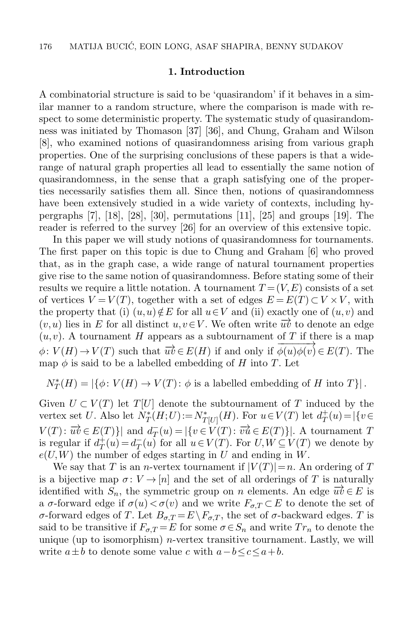#### 1. Introduction

A combinatorial structure is said to be 'quasirandom' if it behaves in a similar manner to a random structure, where the comparison is made with respect to some deterministic property. The systematic study of quasirandomness was initiated by Thomason [\[37\]](#page-32-0) [\[36\]](#page-32-1), and Chung, Graham and Wilson [\[8\]](#page-31-0), who examined notions of quasirandomness arising from various graph properties. One of the surprising conclusions of these papers is that a widerange of natural graph properties all lead to essentially the same notion of quasirandomness, in the sense that a graph satisfying one of the properties necessarily satisfies them all. Since then, notions of quasirandomness have been extensively studied in a wide variety of contexts, including hy-pergraphs [\[7\]](#page-31-1), [\[18\]](#page-32-2), [\[28\]](#page-32-3), [\[30\]](#page-32-4), permutations [\[11\]](#page-31-2), [\[25\]](#page-32-5) and groups [\[19\]](#page-32-6). The reader is referred to the survey [\[26\]](#page-32-7) for an overview of this extensive topic.

In this paper we will study notions of quasirandomness for tournaments. The first paper on this topic is due to Chung and Graham [\[6\]](#page-31-3) who proved that, as in the graph case, a wide range of natural tournament properties give rise to the same notion of quasirandomness. Before stating some of their results we require a little notation. A tournament  $T = (V, E)$  consists of a set of vertices  $V = V(T)$ , together with a set of edges  $E = E(T) \subset V \times V$ , with the property that (i)  $(u, u) \notin E$  for all  $u \in V$  and (ii) exactly one of  $(u, v)$  and  $(v, u)$  lies in E for all distinct  $u, v \in V$ . We often write  $\overrightarrow{uv}$  to denote an edge  $(u, v)$ . A tournament H appears as a subtournament of T if there is a map  $\phi: V(H) \to V(T)$  such that  $\overrightarrow{uv} \in E(H)$  if and only if  $\phi(u)\phi(v) \in E(T)$ . The map  $\phi$  is said to be a labelled embedding of H into T. Let

$$
N_T^*(H) = |\{ \phi \colon V(H) \to V(T) \colon \phi \text{ is a labelled embedding of } H \text{ into } T \}|.
$$

Given  $U \subset V(T)$  let  $T[U]$  denote the subtournament of T induced by the vertex set U. Also let  $N_T^*(H;U) := N_{T[U]}^*(H)$ . For  $u \in V(T)$  let  $d_T^+$  $T^+(u) = |\{v \in$  $V(T)$ :  $\overrightarrow{uv} \in E(T)$ } and  $\overrightarrow{d_T}$  $T(T(u) = |\{v \in V(T) : \overrightarrow{vu} \in E(T)\}|.$  A tournament T is regular if  $d^+$  $T^+(u) = d_T^ \overline{T}(u)$  for all  $u \in V(T)$ . For  $U, W \subseteq V(T)$  we denote by  $e(U, W)$  the number of edges starting in U and ending in W.

We say that T is an *n*-vertex tournament if  $|V(T)|=n$ . An ordering of T is a bijective map  $\sigma: V \to [n]$  and the set of all orderings of T is naturally identified with  $S_n$ , the symmetric group on n elements. An edge  $\overrightarrow{uv} \in E$  is a  $\sigma$ -forward edge if  $\sigma(u) < \sigma(v)$  and we write  $F_{\sigma,T} \subset E$  to denote the set of σ-forward edges of T. Let  $B_{\sigma,T} = E \backslash F_{\sigma,T}$ , the set of σ-backward edges. T is said to be transitive if  $F_{\sigma,T} = E$  for some  $\sigma \in S_n$  and write  $Tr_n$  to denote the unique (up to isomorphism) *n*-vertex transitive tournament. Lastly, we will write  $a \pm b$  to denote some value c with  $a-b \leq c \leq a+b$ .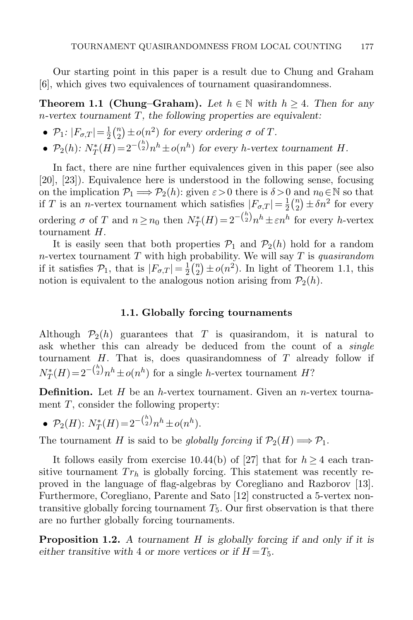Our starting point in this paper is a result due to Chung and Graham [\[6\]](#page-31-3), which gives two equivalences of tournament quasirandomness.

<span id="page-2-0"></span>**Theorem 1.1 (Chung–Graham).** Let  $h \in \mathbb{N}$  with  $h \geq 4$ . Then for any  $n$ -vertex tournament  $T$ , the following properties are equivalent:

- $\bullet$   $\mathcal{P}_1$ :  $|F_{\sigma,T}| = \frac{1}{2}$  $rac{1}{2}$  $\binom{n}{2}$  $\binom{n}{2} \pm o(n^2)$  for every ordering  $\sigma$  of T.
- $\mathcal{P}_2(h)$ :  $N_T^*(H) = 2^{-\binom{h}{2}} n^h \pm o(n^h)$  for every h-vertex tournament H.

In fact, there are nine further equivalences given in this paper (see also [\[20\]](#page-32-8), [\[23\]](#page-32-9)). Equivalence here is understood in the following sense, focusing on the implication  $\mathcal{P}_1 \Longrightarrow \mathcal{P}_2(h)$ : given  $\varepsilon > 0$  there is  $\delta > 0$  and  $n_0 \in \mathbb{N}$  so that if T is an *n*-vertex tournament which satisfies  $|F_{\sigma,T}| = \frac{1}{2}$  $rac{1}{2}$  $\binom{n}{2}$  $\binom{n}{2} \pm \delta n^2$  for every ordering  $\sigma$  of T and  $n \ge n_0$  then  $N_T^*(H) = 2^{-\binom{h}{2}} n^h \pm \varepsilon n^h$  for every h-vertex tournament H.

It is easily seen that both properties  $P_1$  and  $P_2(h)$  hold for a random n-vertex tournament  $T$  with high probability. We will say  $T$  is quasirandom if it satisfies  $\mathcal{P}_1$ , that is  $|F_{\sigma,T}| = \frac{1}{2}$  $rac{1}{2}$  $\binom{n}{2}$  $\binom{n}{2} \pm o(n^2)$ . In light of Theorem [1.1,](#page-2-0) this notion is equivalent to the analogous notion arising from  $\mathcal{P}_2(h)$ .

#### 1.1. Globally forcing tournaments

Although  $\mathcal{P}_2(h)$  guarantees that T is quasirandom, it is natural to ask whether this can already be deduced from the count of a *single* tournament  $H$ . That is, does quasirandomness of  $T$  already follow if  $N_T^*(H) = 2^{-\binom{h}{2}} n^h \pm o(n^h)$  for a single h-vertex tournament  $H$ ?

**Definition.** Let  $H$  be an h-vertex tournament. Given an n-vertex tournament  $T$ , consider the following property:

• 
$$
\mathcal{P}_2(H)
$$
:  $N_T^*(H) = 2^{-\binom{h}{2}} n^h \pm o(n^h)$ .

The tournament H is said to be globally forcing if  $\mathcal{P}_2(H) \Longrightarrow \mathcal{P}_1$ .

It follows easily from exercise 10.44(b) of [\[27\]](#page-32-10) that for  $h \geq 4$  each transitive tournament  $Tr_h$  is globally forcing. This statement was recently reproved in the language of flag-algebras by Coregliano and Razborov [\[13\]](#page-31-4). Furthermore, Coregliano, Parente and Sato [\[12\]](#page-31-5) constructed a 5-vertex nontransitive globally forcing tournament  $T_5$ . Our first observation is that there are no further globally forcing tournaments.

<span id="page-2-1"></span>**Proposition 1.2.** A tournament H is globally forcing if and only if it is either transitive with 4 or more vertices or if  $H = T_5$ .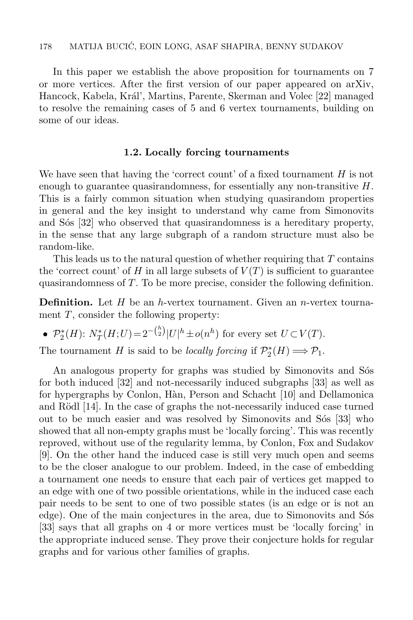In this paper we establish the above proposition for tournaments on 7 or more vertices. After the first version of our paper appeared on arXiv, Hancock, Kabela, Král', Martins, Parente, Skerman and Volec [\[22\]](#page-32-11) managed to resolve the remaining cases of 5 and 6 vertex tournaments, building on some of our ideas.

#### 1.2. Locally forcing tournaments

We have seen that having the 'correct count' of a fixed tournament  $H$  is not enough to guarantee quasirandomness, for essentially any non-transitive  $H$ . This is a fairly common situation when studying quasirandom properties in general and the key insight to understand why came from Simonovits and S<sub>os</sub> [\[32\]](#page-32-12) who observed that quasirandomness is a hereditary property, in the sense that any large subgraph of a random structure must also be random-like.

This leads us to the natural question of whether requiring that T contains the 'correct count' of H in all large subsets of  $V(T)$  is sufficient to guarantee quasirandomness of T. To be more precise, consider the following definition.

**Definition.** Let  $H$  be an h-vertex tournament. Given an n-vertex tournament  $T$ , consider the following property:

• 
$$
\mathcal{P}_2^*(H)
$$
:  $N_T^*(H;U) = 2^{-\binom{h}{2}} |U|^h \pm o(n^h)$  for every set  $U \subset V(T)$ .

 $\lambda$ 

The tournament H is said to be locally forcing if  $\mathcal{P}_2^*(H) \Longrightarrow \mathcal{P}_1$ .

An analogous property for graphs was studied by Simonovits and Sós for both induced [\[32\]](#page-32-12) and not-necessarily induced subgraphs [\[33\]](#page-32-13) as well as for hypergraphs by Conlon, H`an, Person and Schacht [\[10\]](#page-31-6) and Dellamonica and Rödl [\[14\]](#page-31-7). In the case of graphs the not-necessarily induced case turned out to be much easier and was resolved by Simonovits and Sos [\[33\]](#page-32-13) who showed that all non-empty graphs must be 'locally forcing'. This was recently reproved, without use of the regularity lemma, by Conlon, Fox and Sudakov [\[9\]](#page-31-8). On the other hand the induced case is still very much open and seems to be the closer analogue to our problem. Indeed, in the case of embedding a tournament one needs to ensure that each pair of vertices get mapped to an edge with one of two possible orientations, while in the induced case each pair needs to be sent to one of two possible states (is an edge or is not an edge). One of the main conjectures in the area, due to Simonovits and S<sup>os</sup> [\[33\]](#page-32-13) says that all graphs on 4 or more vertices must be 'locally forcing' in the appropriate induced sense. They prove their conjecture holds for regular graphs and for various other families of graphs.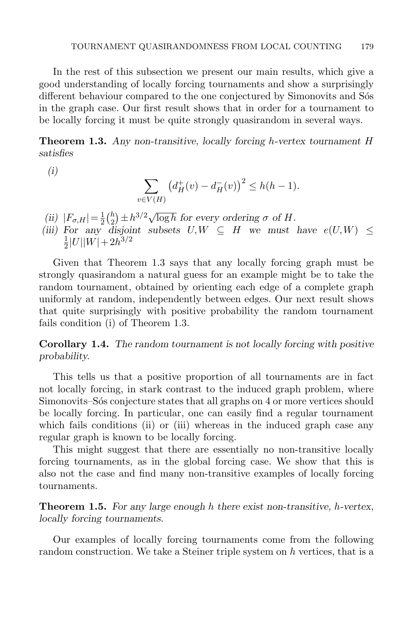In the rest of this subsection we present our main results, which give a good understanding of locally forcing tournaments and show a surprisingly different behaviour compared to the one conjectured by Simonovits and Sos in the graph case. Our first result shows that in order for a tournament to be locally forcing it must be quite strongly quasirandom in several ways.

<span id="page-4-0"></span>**Theorem 1.3.** Any non-transitive, locally forcing h-vertex tournament  $H$ satisfies

$$
(i)
$$

$$
\sum_{v \in V(H)} \left( d^+_H(v) - d^-_H(v) \right)^2 \le h(h-1).
$$

- (ii)  $|F_{\sigma,H}| = \frac{1}{2}$  $\frac{1}{2} \binom{h}{2}$  $\sum_{i=1}^{h} \pm h^{3/2} \sqrt{\log h}$  for every ordering  $\sigma$  of H.
- (iii) For any disjoint subsets  $U, W \subseteq H$  we must have  $e(U, W) \leq$ 1  $\frac{1}{2}|U||W|+2h^{3/2}$

Given that Theorem [1.3](#page-4-0) says that any locally forcing graph must be strongly quasirandom a natural guess for an example might be to take the random tournament, obtained by orienting each edge of a complete graph uniformly at random, independently between edges. Our next result shows that quite surprisingly with positive probability the random tournament fails condition (i) of Theorem [1.3.](#page-4-0)

<span id="page-4-1"></span>Corollary 1.4. The random tournament is not locally forcing with positive probability.

This tells us that a positive proportion of all tournaments are in fact not locally forcing, in stark contrast to the induced graph problem, where Simonovits–S´os conjecture states that all graphs on 4 or more vertices should be locally forcing. In particular, one can easily find a regular tournament which fails conditions (ii) or (iii) whereas in the induced graph case any regular graph is known to be locally forcing.

This might suggest that there are essentially no non-transitive locally forcing tournaments, as in the global forcing case. We show that this is also not the case and find many non-transitive examples of locally forcing tournaments.

<span id="page-4-2"></span>**Theorem 1.5.** For any large enough h there exist non-transitive, h-vertex, locally forcing tournaments.

Our examples of locally forcing tournaments come from the following random construction. We take a Steiner triple system on h vertices, that is a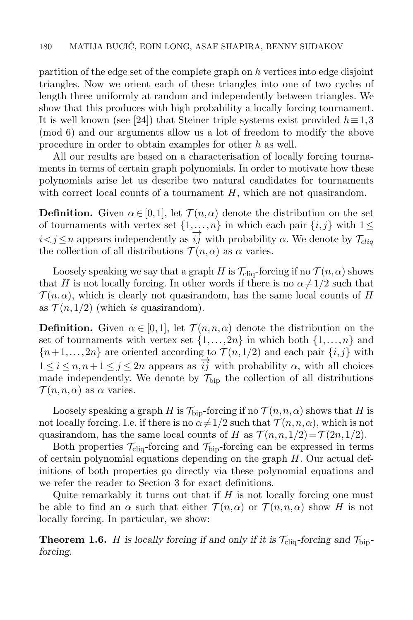partition of the edge set of the complete graph on h vertices into edge disjoint triangles. Now we orient each of these triangles into one of two cycles of length three uniformly at random and independently between triangles. We show that this produces with high probability a locally forcing tournament. It is well known (see [\[24\]](#page-32-14)) that Steiner triple systems exist provided  $h \equiv 1,3$ (mod 6) and our arguments allow us a lot of freedom to modify the above procedure in order to obtain examples for other h as well.

All our results are based on a characterisation of locally forcing tournaments in terms of certain graph polynomials. In order to motivate how these polynomials arise let us describe two natural candidates for tournaments with correct local counts of a tournament  $H$ , which are not quasirandom.

**Definition.** Given  $\alpha \in [0,1]$ , let  $\mathcal{T}(n,\alpha)$  denote the distribution on the set of tournaments with vertex set  $\{1,\ldots,n\}$  in which each pair  $\{i,j\}$  with  $1\leq$  $i < j \leq n$  appears independently as  $\overline{i}\overline{j}$  with probability  $\alpha$ . We denote by  $\mathcal{T}_{clia}$ the collection of all distributions  $\mathcal{T}(n,\alpha)$  as  $\alpha$  varies.

Loosely speaking we say that a graph H is  $\mathcal{T}_{\text{cliq}}$ -forcing if no  $\mathcal{T}(n,\alpha)$  shows that H is not locally forcing. In other words if there is no  $\alpha \neq 1/2$  such that  $\mathcal{T}(n,\alpha)$ , which is clearly not quasirandom, has the same local counts of H as  $\mathcal{T}(n,1/2)$  (which is quasirandom).

**Definition.** Given  $\alpha \in [0,1]$ , let  $\mathcal{T}(n,n,\alpha)$  denote the distribution on the set of tournaments with vertex set  $\{1,\ldots,2n\}$  in which both  $\{1,\ldots,n\}$  and  ${n+1,...,2n}$  are oriented according to  $\mathcal{T}(n,1/2)$  and each pair  $\{i,j\}$  with  $1 \leq i \leq n, n+1 \leq j \leq 2n$  appears as  $\overrightarrow{ij}$  with probability  $\alpha$ , with all choices made independently. We denote by  $\mathcal{T}_{\text{bip}}$  the collection of all distributions  $\mathcal{T}(n,n,\alpha)$  as  $\alpha$  varies.

Loosely speaking a graph H is  $\mathcal{T}_{\text{bip}}$ -forcing if no  $\mathcal{T}(n,n,\alpha)$  shows that H is not locally forcing. I.e. if there is no  $\alpha \neq 1/2$  such that  $\mathcal{T} (n,n,\alpha)$ , which is not quasirandom, has the same local counts of H as  $\mathcal{T}(n,n,1/2)=\mathcal{T}(2n,1/2)$ .

Both properties  $\mathcal{T}_{\text{cliq}}$ -forcing and  $\mathcal{T}_{\text{bin}}$ -forcing can be expressed in terms of certain polynomial equations depending on the graph  $H$ . Our actual definitions of both properties go directly via these polynomial equations and we refer the reader to Section [3](#page-9-0) for exact definitions.

Quite remarkably it turns out that if  $H$  is not locally forcing one must be able to find an  $\alpha$  such that either  $\mathcal{T}(n,\alpha)$  or  $\mathcal{T}(n,n,\alpha)$  show H is not locally forcing. In particular, we show:

<span id="page-5-0"></span>**Theorem 1.6.** H is locally forcing if and only if it is  $\mathcal{T}_{\text{cliq}}$ -forcing and  $\mathcal{T}_{\text{bip}}$ forcing.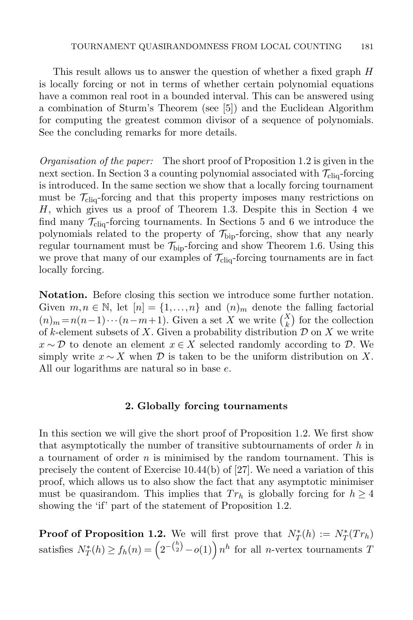This result allows us to answer the question of whether a fixed graph H is locally forcing or not in terms of whether certain polynomial equations have a common real root in a bounded interval. This can be answered using a combination of Sturm's Theorem (see [\[5\]](#page-31-9)) and the Euclidean Algorithm for computing the greatest common divisor of a sequence of polynomials. See the concluding remarks for more details.

Organisation of the paper: The short proof of Proposition [1.2](#page-2-1) is given in the next section. In Section [3](#page-9-0) a counting polynomial associated with  $\mathcal{T}_{\text{cliq}}$ -forcing is introduced. In the same section we show that a locally forcing tournament must be  $\mathcal{T}_{\text{cliq}}$ -forcing and that this property imposes many restrictions on H, which gives us a proof of Theorem [1.3.](#page-4-0) Despite this in Section [4](#page-15-0) we find many  $\mathcal{T}_{\text{cliq}}$ -forcing tournaments. In Sections [5](#page-18-0) and [6](#page-21-0) we introduce the polynomials related to the property of  $\mathcal{T}_{\text{bio}}$ -forcing, show that any nearly regular tournament must be  $\mathcal{T}_{\text{bip}}$ -forcing and show Theorem [1.6.](#page-5-0) Using this we prove that many of our examples of  $\mathcal{T}_{\text{cliq}}$ -forcing tournaments are in fact locally forcing.

Notation. Before closing this section we introduce some further notation. Given  $m, n \in \mathbb{N}$ , let  $[n] = \{1, ..., n\}$  and  $(n)_m$  denote the falling factorial  $(n)_m = n(n-1)\cdots(n-m+1)$ . Given a set X we write  $\binom{X}{k}$  for the collection of k-element subsets of X. Given a probability distribution  $\mathcal D$  on X we write  $x \sim \mathcal{D}$  to denote an element  $x \in X$  selected randomly according to  $\mathcal{D}$ . We simply write  $x \sim X$  when D is taken to be the uniform distribution on X. All our logarithms are natural so in base e.

#### 2. Globally forcing tournaments

In this section we will give the short proof of Proposition [1.2.](#page-2-1) We first show that asymptotically the number of transitive subtournaments of order  $h$  in a tournament of order  $n$  is minimised by the random tournament. This is precisely the content of Exercise 10.44(b) of [\[27\]](#page-32-10). We need a variation of this proof, which allows us to also show the fact that any asymptotic minimiser must be quasirandom. This implies that  $Tr_h$  is globally forcing for  $h \geq 4$ showing the 'if' part of the statement of Proposition [1.2.](#page-2-1)

**Proof of Proposition [1.2.](#page-2-1)** We will first prove that  $N_T^*(h) := N_T^*(Tr_h)$ satisfies  $N_T^*(h) \ge f_h(n) = \left(2^{-\binom{h}{2}} - o(1)\right) n^h$  for all *n*-vertex tournaments T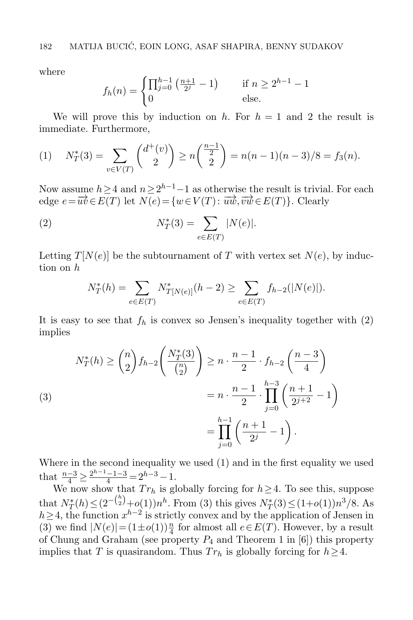where

$$
f_h(n) = \begin{cases} \prod_{j=0}^{h-1} \left( \frac{n+1}{2^j} - 1 \right) & \text{if } n \ge 2^{h-1} - 1\\ 0 & \text{else.} \end{cases}
$$

We will prove this by induction on h. For  $h = 1$  and 2 the result is immediate. Furthermore,

<span id="page-7-1"></span>(1) 
$$
N_T^*(3) = \sum_{v \in V(T)} \binom{d^+(v)}{2} \ge n \binom{\frac{n-1}{2}}{2} = n(n-1)(n-3)/8 = f_3(n).
$$

Now assume  $h \geq 4$  and  $n \geq 2^{h-1}-1$  as otherwise the result is trivial. For each edge  $e = \overrightarrow{uv} \in E(T)$  let  $N(e) = \{w \in V(T) : \overrightarrow{uw}, \overrightarrow{vw} \in E(T)\}\.$  Clearly

(2) 
$$
N_T^*(3) = \sum_{e \in E(T)} |N(e)|.
$$

Letting  $T[N(e)]$  be the subtournament of T with vertex set  $N(e)$ , by induction on h

<span id="page-7-0"></span>
$$
N_T^*(h) = \sum_{e \in E(T)} N_{T[N(e)]}^*(h-2) \ge \sum_{e \in E(T)} f_{h-2}(|N(e)|).
$$

It is easy to see that  $f_h$  is convex so Jensen's inequality together with  $(2)$ implies

<span id="page-7-2"></span>(3)  

$$
N_T^*(h) \ge \binom{n}{2} f_{h-2} \left( \frac{N_T^*(3)}{\binom{n}{2}} \right) \ge n \cdot \frac{n-1}{2} \cdot f_{h-2} \left( \frac{n-3}{4} \right)
$$

$$
= n \cdot \frac{n-1}{2} \cdot \prod_{j=0}^{h-3} \left( \frac{n+1}{2^{j+2}} - 1 \right)
$$

$$
= \prod_{j=0}^{h-1} \left( \frac{n+1}{2^j} - 1 \right).
$$

Where in the second inequality we used [\(1\)](#page-7-1) and in the first equality we used that  $\frac{n-3}{4} \ge \frac{2^{h-1}-1-3}{4} = 2^{h-3}-1$ .

We now show that  $Tr_h$  is globally forcing for  $h \geq 4$ . To see this, suppose that  $N_T^*(h) \leq (2^{-\binom{h}{2}} + o(1))n^h$ . From [\(3\)](#page-7-2) this gives  $N_T^*(3) \leq (1+o(1))n^3/8$ . As  $h \geq 4$ , the function  $x^{h-2}$  is strictly convex and by the application of Jensen in [\(3\)](#page-7-2) we find  $|N(e)| = (1 \pm o(1))\frac{n}{4}$  for almost all  $e \in E(T)$ . However, by a result of Chung and Graham (see property  $P_4$  and Theorem 1 in [\[6\]](#page-31-3)) this property implies that T is quasirandom. Thus  $Tr_h$  is globally forcing for  $h \geq 4$ .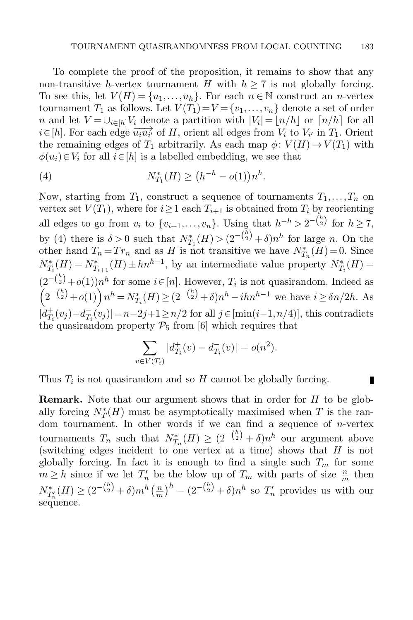To complete the proof of the proposition, it remains to show that any non-transitive h-vertex tournament H with  $h \geq 7$  is not globally forcing. To see this, let  $V(H) = \{u_1, \ldots, u_h\}$ . For each  $n \in \mathbb{N}$  construct an *n*-vertex tournament  $T_1$  as follows. Let  $V(T_1) = V = \{v_1, \ldots, v_n\}$  denote a set of order n and let  $V = \bigcup_{i \in [h]} V_i$  denote a partition with  $|V_i| = \lfloor n/h \rfloor$  or  $\lceil n/h \rceil$  for all  $i \in [h]$ . For each edge  $\overrightarrow{u_i u_{i'}}$  of H, orient all edges from  $V_i$  to  $V_{i'}$  in  $T_1$ . Orient the remaining edges of  $T_1$  arbitrarily. As each map  $\phi: V(H) \to V(T_1)$  with  $\phi(u_i) \in V_i$  for all  $i \in [h]$  is a labelled embedding, we see that

<span id="page-8-0"></span>(4) 
$$
N_{T_1}^*(H) \ge (h^{-h} - o(1))n^h.
$$

Now, starting from  $T_1$ , construct a sequence of tournaments  $T_1, \ldots, T_n$  on vertex set  $V(T_1)$ , where for  $i \geq 1$  each  $T_{i+1}$  is obtained from  $T_i$  by reorienting all edges to go from  $v_i$  to  $\{v_{i+1}, \ldots, v_n\}$ . Using that  $h^{-h} > 2^{-\binom{h}{2}}$  for  $h \ge 7$ , by [\(4\)](#page-8-0) there is  $\delta > 0$  such that  $N_{T_1}^*(H) > (2^{-\binom{h}{2}} + \delta)n^h$  for large n. On the other hand  $T_n = Tr_n$  and as H is not transitive we have  $N_{T_n}^*(H) = 0$ . Since  $N_{T_i}^*(H) = N_{T_{i+1}}^*(H) \pm h n^{h-1}$ , by an intermediate value property  $N_{T_i}^*(H) =$  $(2^{-\binom{h}{2}}+o(1))n^h$  for some  $i\in[n]$ . However,  $T_i$  is not quasirandom. Indeed as  $\left(2^{-\binom{h}{2}}+o(1)\right) n^h = N_{T_i}^*(H) \geq (2^{-\binom{h}{2}}+o)n^h - ihn^{h-1}$  we have  $i \geq \delta n/2h$ . As  $|d_T^+$  $T_i^+(v_j) - d_{T_i}^ T_i(v_j)| = n-2j+1 \geq n/2$  for all  $j \in [\min(i-1, n/4)]$ , this contradicts the quasirandom property  $\mathcal{P}_5$  from [\[6\]](#page-31-3) which requires that

$$
\sum_{v \in V(T_i)} |d_{T_i}^+(v) - d_{T_i}^-(v)| = o(n^2).
$$

П

Thus  $T_i$  is not quasirandom and so  $H$  cannot be globally forcing.

**Remark.** Note that our argument shows that in order for  $H$  to be globally forcing  $N_T^*(H)$  must be asymptotically maximised when T is the random tournament. In other words if we can find a sequence of  $n$ -vertex tournaments  $T_n$  such that  $N_{T_n}^*(H) \geq (2^{-{h \choose 2}} + \delta)n^h$  our argument above (switching edges incident to one vertex at a time) shows that  $H$  is not globally forcing. In fact it is enough to find a single such  $T_m$  for some  $m \geq h$  since if we let  $T'_n$  be the blow up of  $T_m$  with parts of size  $\frac{n}{m}$  then  $N^*_{T'_n}(H) \geq (2^{-{h \choose 2}} + \delta) m^h \left( \frac{n}{m} \right)$  $\left(\frac{m}{m}\right)^h = (2^{-\binom{h}{2}} + \delta)n^h$  so  $T'_n$  provides us with our sequence.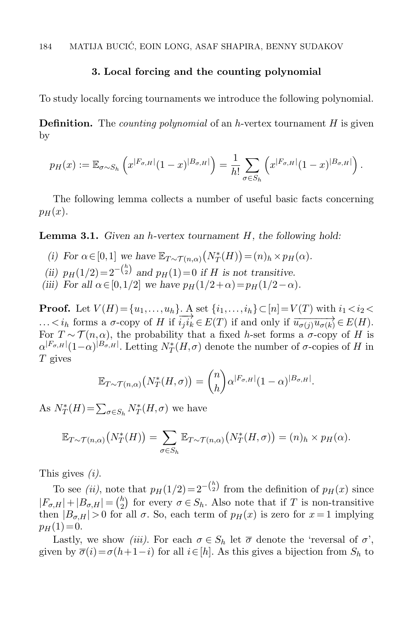### 3. Local forcing and the counting polynomial

<span id="page-9-0"></span>To study locally forcing tournaments we introduce the following polynomial.

**Definition.** The *counting polynomial* of an h-vertex tournament  $H$  is given by

$$
p_H(x) := \mathbb{E}_{\sigma \sim S_h} \left( x^{|F_{\sigma,H}|} (1-x)^{|B_{\sigma,H}|} \right) = \frac{1}{h!} \sum_{\sigma \in S_h} \left( x^{|F_{\sigma,H}|} (1-x)^{|B_{\sigma,H}|} \right).
$$

The following lemma collects a number of useful basic facts concerning  $p_H(x)$ .

<span id="page-9-1"></span>**Lemma 3.1.** Given an h-vertex tournament  $H$ , the following hold:

- (i) For  $\alpha \in [0,1]$  we have  $\mathbb{E}_{T \sim \mathcal{T}(n,\alpha)}(N_T^*(H)) = (n)_h \times p_H(\alpha)$ . (ii)  $p_H(1/2) = 2^{-\binom{h}{2}}$  and  $p_H(1) = 0$  if H is not transitive.
- 
- (iii) For all  $\alpha \in [0,1/2]$  we have  $p_H(1/2+\alpha) = p_H(1/2-\alpha)$ .

**Proof.** Let  $V(H) = \{u_1, \ldots, u_h\}$ . A set  $\{i_1, \ldots, i_h\} \subset [n] = V(T)$  with  $i_1 < i_2 < \ldots < i_h$  forms a  $\sigma$ -copy of H if  $i_j i_k \in E(T)$  if and only if  $\overrightarrow{u_{\sigma(j)}u_{\sigma(k)}} \in E(H)$ . For  $T \sim \mathcal{T}(n, \alpha)$ , the probability that a fixed h-set forms a  $\sigma$ -copy of H is  $\alpha^{|F_{\sigma,H}|}(1-\alpha)^{|B_{\sigma,H}|}$ . Letting  $N^*_T(H,\sigma)$  denote the number of  $\sigma$ -copies of H in  $T$  gives

$$
\mathbb{E}_{T\sim\mathcal{T}(n,\alpha)}\big(N_T^*(H,\sigma)\big)=\binom{n}{h}\alpha^{|F_{\sigma,H}|}(1-\alpha)^{|B_{\sigma,H}|}.
$$

As  $N^*_T(H) = \sum_{\sigma \in S_h} N^*_T(H, \sigma)$  we have

$$
\mathbb{E}_{T\sim\mathcal{T}(n,\alpha)}(N_T^*(H))=\sum_{\sigma\in S_h}\mathbb{E}_{T\sim\mathcal{T}(n,\alpha)}(N_T^*(H,\sigma))=(n)_h\times p_H(\alpha).
$$

This gives (i).

To see *(ii)*, note that  $p_H(1/2) = 2^{-\binom{h}{2}}$  from the definition of  $p_H(x)$  since  $|F_{\sigma,H}| + |B_{\sigma,H}| = {h \choose 2}$  $\binom{h}{2}$  for every  $\sigma \in S_h$ . Also note that if T is non-transitive then  $|B_{\sigma,H}| > 0$  for all  $\sigma$ . So, each term of  $p_H(x)$  is zero for  $x = 1$  implying  $p_H(1) = 0.$ 

Lastly, we show *(iii)*. For each  $\sigma \in S_h$  let  $\bar{\sigma}$  denote the 'reversal of  $\sigma$ ', given by  $\overline{\sigma}(i) = \sigma(h+1-i)$  for all  $i \in [h]$ . As this gives a bijection from  $S_h$  to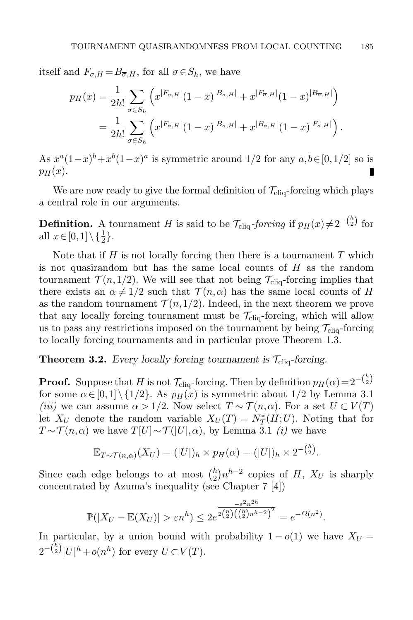itself and  $F_{\sigma,H} = B_{\overline{\sigma},H}$ , for all  $\sigma \in S_h$ , we have

$$
p_H(x) = \frac{1}{2h!} \sum_{\sigma \in S_h} \left( x^{|F_{\sigma,H}|} (1-x)^{|B_{\sigma,H}|} + x^{|F_{\overline{\sigma},H}|} (1-x)^{|B_{\overline{\sigma},H}|} \right)
$$
  
= 
$$
\frac{1}{2h!} \sum_{\sigma \in S_h} \left( x^{|F_{\sigma,H}|} (1-x)^{|B_{\sigma,H}|} + x^{|B_{\sigma,H}|} (1-x)^{|F_{\sigma,H}|} \right).
$$

As  $x^a(1-x)^b + x^b(1-x)^a$  is symmetric around  $1/2$  for any  $a, b \in [0, 1/2]$  so is  $p_H(x)$ .

We are now ready to give the formal definition of  $\mathcal{T}_{\text{cliq}}$ -forcing which plays a central role in our arguments.

**Definition.** A tournament H is said to be  $\mathcal{T}_{\text{cliq}}$ -forcing if  $p_H(x) \neq 2^{-\binom{h}{2}}$  for all  $x \in [0,1] \setminus {\frac{1}{2}}.$ 

Note that if  $H$  is not locally forcing then there is a tournament  $T$  which is not quasirandom but has the same local counts of  $H$  as the random tournament  $\mathcal{T}(n,1/2)$ . We will see that not being  $\mathcal{T}_{\text{cliq}}$ -forcing implies that there exists an  $\alpha \neq 1/2$  such that  $\mathcal{T}(n,\alpha)$  has the same local counts of H as the random tournament  $\mathcal{T}(n,1/2)$ . Indeed, in the next theorem we prove that any locally forcing tournament must be  $\mathcal{T}_{\text{cliq}}$ -forcing, which will allow us to pass any restrictions imposed on the tournament by being  $\mathcal{T}_{\text{cliq}}$ -forcing to locally forcing tournaments and in particular prove Theorem [1.3.](#page-4-0)

<span id="page-10-0"></span>**Theorem 3.2.** Every locally forcing tournament is  $\mathcal{T}_{\text{cliq}}$ -forcing.

**Proof.** Suppose that H is not  $\mathcal{T}_{\text{cliq}}$ -forcing. Then by definition  $p_H(\alpha) = 2^{-\binom{h}{2}}$ for some  $\alpha \in [0,1] \setminus \{1/2\}$ . As  $p_H(x)$  is symmetric about  $1/2$  by Lemma [3.1](#page-9-1) (iii) we can assume  $\alpha > 1/2$ . Now select  $T \sim \mathcal{T}(n, \alpha)$ . For a set  $U \subset V(T)$ let  $X_U$  denote the random variable  $X_U(T) = N_T^*(H;U)$ . Noting that for  $T \sim \mathcal{T}(n,\alpha)$  we have  $T[U] \sim \mathcal{T}([U],\alpha)$ , by Lemma [3.1](#page-9-1) *(i)* we have

$$
\mathbb{E}_{T\sim\mathcal{T}(n,\alpha)}(X_U)=(|U|)_h\times p_H(\alpha)=(|U|)_h\times 2^{-\binom{h}{2}}.
$$

Since each edge belongs to at most  $\binom{h}{2}$  $\binom{h}{2}n^{h-2}$  copies of H,  $X_U$  is sharply concentrated by Azuma's inequality (see Chapter 7 [\[4\]](#page-31-10))

$$
\mathbb{P}(|X_U - \mathbb{E}(X_U)| > \varepsilon n^h) \le 2e^{\frac{-\varepsilon^2 n^{2h}}{2\binom{n}{2}\left(\binom{h}{2}n^{h-2}\right)^2}} = e^{-\Omega(n^2)}.
$$

In particular, by a union bound with probability  $1 - o(1)$  we have  $X_U =$  $2^{-\binom{h}{2}}|U|^h + o(n^h)$  for every  $U \subset V(T)$ .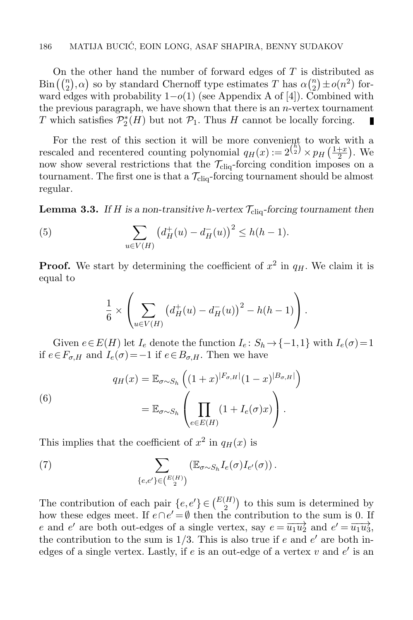On the other hand the number of forward edges of T is distributed as  $\text{Bin}\left(\binom{n}{2}, \alpha\right)$  so by standard Chernoff type estimates T has  $\alpha\binom{n}{2}$  $\binom{n}{2} \pm o(n^2)$  forward edges with probability  $1-o(1)$  (see Appendix A of [\[4\]](#page-31-10)). Combined with the previous paragraph, we have shown that there is an  $n$ -vertex tournament T which satisfies  $\mathcal{P}_2^*(H)$  but not  $\mathcal{P}_1$ . Thus H cannot be locally forcing. п

For the rest of this section it will be more convenient to work with a rescaled and recentered counting polynomial  $q_H(x) := 2^{\binom{h}{2}} \times p_H\left(\frac{1+x}{2}\right)$  $\frac{+x}{2}$ ). We now show several restrictions that the  $\mathcal{T}_{\text{cliq}}$ -forcing condition imposes on a tournament. The first one is that a  $\mathcal{T}_{\text{cliq}}$ -forcing tournament should be almost regular.

<span id="page-11-2"></span>**Lemma 3.3.** If H is a non-transitive h-vertex  $\mathcal{T}_{\text{clia}}$ -forcing tournament then

(5) 
$$
\sum_{u \in V(H)} \left( d^+_H(u) - d^-_H(u) \right)^2 \le h(h-1).
$$

**Proof.** We start by determining the coefficient of  $x^2$  in  $q_H$ . We claim it is equal to

<span id="page-11-1"></span>
$$
\frac{1}{6} \times \left( \sum_{u \in V(H)} \left( d^+_H(u) - d^-_H(u) \right)^2 - h(h-1) \right).
$$

Given  $e \in E(H)$  let  $I_e$  denote the function  $I_e: S_h \to \{-1,1\}$  with  $I_e(\sigma) = 1$ if  $e \in F_{\sigma,H}$  and  $I_e(\sigma) = -1$  if  $e \in B_{\sigma,H}$ . Then we have

(6)  

$$
q_H(x) = \mathbb{E}_{\sigma \sim S_h} \left( (1+x)^{|F_{\sigma,H}|} (1-x)^{|B_{\sigma,H}|} \right)
$$

$$
= \mathbb{E}_{\sigma \sim S_h} \left( \prod_{e \in E(H)} (1 + I_e(\sigma)x) \right).
$$

This implies that the coefficient of  $x^2$  in  $q_H(x)$  is

<span id="page-11-0"></span>(7) 
$$
\sum_{\{e,e'\}\in\binom{E(H)}{2}} \left(\mathbb{E}_{\sigma\sim S_h} I_e(\sigma) I_{e'}(\sigma)\right).
$$

The contribution of each pair  $\{e, e'\} \in \binom{E(H)}{2}$  to this sum is determined by how these edges meet. If  $e \cap e' = \emptyset$  then the contribution to the sum is 0. If e and e' are both out-edges of a single vertex, say  $e = \overrightarrow{u_1 u_2}$  and  $e' = \overrightarrow{u_1 u_3}$ , the contribution to the sum is  $1/3$ . This is also true if e and e' are both inedges of a single vertex. Lastly, if  $e$  is an out-edge of a vertex  $v$  and  $e'$  is an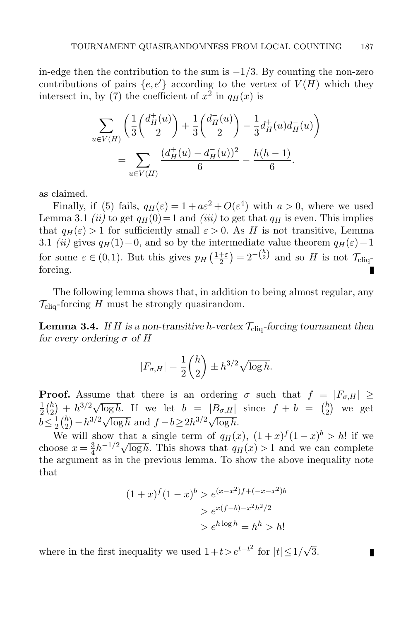in-edge then the contribution to the sum is  $-1/3$ . By counting the non-zero contributions of pairs  $\{e,e'\}$  according to the vertex of  $V(H)$  which they intersect in, by [\(7\)](#page-11-0) the coefficient of  $x^2$  in  $q_H(x)$  is

$$
\sum_{u \in V(H)} \left( \frac{1}{3} \binom{d^+_{H}(u)}{2} + \frac{1}{3} \binom{d^-_{H}(u)}{2} - \frac{1}{3} d^+_{H}(u) d^-_{H}(u) \right) = \sum_{u \in V(H)} \frac{(d^+_{H}(u) - d^-_{H}(u))^2}{6} - \frac{h(h-1)}{6}.
$$

as claimed.

Finally, if [\(5\)](#page-11-1) fails,  $q_H(\varepsilon) = 1 + a\varepsilon^2 + O(\varepsilon^4)$  with  $a > 0$ , where we used Lemma [3.1](#page-9-1) (ii) to get  $q_H(0)=1$  and (iii) to get that  $q_H$  is even. This implies that  $q_H(\varepsilon) > 1$  for sufficiently small  $\varepsilon > 0$ . As H is not transitive, Lemma [3.1](#page-9-1) (ii) gives  $q_H(1)=0$ , and so by the intermediate value theorem  $q_H(\varepsilon)=1$ for some  $\varepsilon \in (0,1)$ . But this gives  $p_H\left(\frac{1+\varepsilon}{2}\right)$  $\frac{1+\varepsilon}{2}$  =  $2^{-\binom{h}{2}}$  and so H is not  $\mathcal{T}_{\text{cliq}}$ forcing.

The following lemma shows that, in addition to being almost regular, any  $\mathcal{T}_{\text{clia}}$ -forcing H must be strongly quasirandom.

<span id="page-12-0"></span>**Lemma 3.4.** If H is a non-transitive h-vertex  $\mathcal{T}_{\text{clig}}$ -forcing tournament then for every ordering  $\sigma$  of H

$$
|F_{\sigma,H}| = \frac{1}{2} \binom{h}{2} \pm h^{3/2} \sqrt{\log h}.
$$

**Proof.** Assume that there is an ordering  $\sigma$  such that  $f = |F_{\sigma,H}| \ge$  $\frac{1}{2} {h \choose 2} + h^{3/2} \sqrt{\log h}$ . If we let  $b = |B_{\sigma,H}|$  since  $f + b = {h \choose 2}$  $2<sup>2</sup>$  $\binom{h}{2}$  we get  $b \leq \frac{1}{2}$  $\frac{1}{2} \binom{h}{2}$  $\frac{h}{2} - h^{3/2} \sqrt{\log h}$  and  $f - b \ge 2h^{3/2} \sqrt{\log h}$ .

We will show that a single term of  $q_H(x)$ ,  $(1+x)^f(1-x)^b > h!$  if we choose  $x=\frac{3}{4}$ show that a single term of  $q_H(x)$ ,  $(1+x)^2 (1-x)^3 \ge n!$  if we  $\frac{3}{4}h^{-1/2}\sqrt{\log h}$ . This shows that  $q_H(x) > 1$  and we can complete the argument as in the previous lemma. To show the above inequality note that

$$
(1+x)^{f}(1-x)^{b} > e^{(x-x^2)f+(-x-x^2)b}
$$

$$
> e^{x(f-b)-x^2h^2/2}
$$

$$
> e^{h \log h} = h^h > h!
$$

П

where in the first inequality we used  $1+t>e^{t-t^2}$  for  $|t|\leq 1/$ √ 3.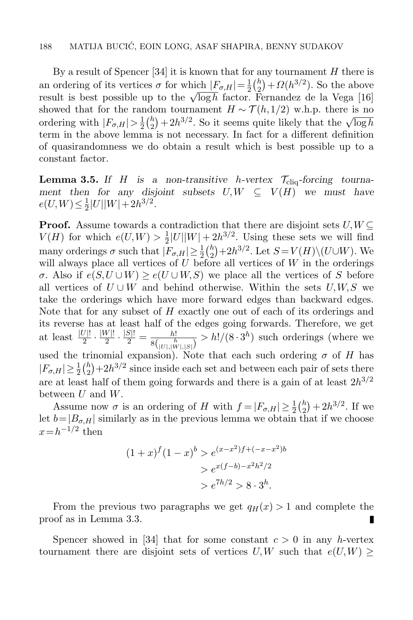By a result of Spencer [\[34\]](#page-32-15) it is known that for any tournament  $H$  there is an ordering of its vertices  $\sigma$  for which  $|F_{\sigma,H}| = \frac{1}{2}$  $rac{1}{2}$  $\binom{h}{2}$  $\binom{h}{2} + \Omega(h^{3/2})$ . So the above an ordering of its vertices b for which  $|r_{\sigma,H}| = \frac{1}{2} \left( \frac{1}{2} \right) + \frac{32}{\pi} \left( \frac{1}{2} \right)$ . So the above<br>result is best possible up to the  $\sqrt{\log h}$  factor. Fernandez de la Vega [\[16\]](#page-32-16) showed that for the random tournament  $H \sim \mathcal{T}(h,1/2)$  w.h.p. there is no ordering with  $|F_{\sigma,H}| > \frac{1}{2}$  $rac{1}{2}$  $\binom{h}{2}$  $\binom{h}{2} + 2h^{3/2}$ . So it seems quite likely that the  $\sqrt{\log h}$ term in the above lemma is not necessary. In fact for a different definition of quasirandomness we do obtain a result which is best possible up to a constant factor.

<span id="page-13-0"></span>**Lemma 3.5.** If H is a non-transitive h-vertex  $\mathcal{T}_{\text{cliq}}$ -forcing tournament then for any disjoint subsets  $U, W \subseteq V(H)$  we must have  $e(U,W) \leq \frac{1}{2}$  $\frac{1}{2}|U||W|+2h^{3/2}.$ 

**Proof.** Assume towards a contradiction that there are disjoint sets  $U, W \subseteq$  $V(H)$  for which  $e(U,W) > \frac{1}{2}$  $\frac{1}{2}|U||W| + 2h^{3/2}$ . Using these sets we will find many orderings  $\sigma$  such that  $|F_{\sigma,H}| \geq \frac{1}{2} {h \choose 2}$  $\binom{h}{2}+2h^{3/2}$ . Let  $S=V(H)\setminus (U\cup W)$ . We will always place all vertices of  $U$  before all vertices of  $W$  in the orderings  $σ$ . Also if  $e(S, U \cup W) > e(U \cup W, S)$  we place all the vertices of S before all vertices of  $U \cup W$  and behind otherwise. Within the sets  $U, W, S$  we take the orderings which have more forward edges than backward edges. Note that for any subset of H exactly one out of each of its orderings and its reverse has at least half of the edges going forwards. Therefore, we get at least  $\frac{|U|!}{2} \cdot \frac{|W|!}{2}$  $\frac{W|!}{2} \cdot \frac{|S|!}{2} = \frac{h!}{8(\ln h)!}$  $\frac{h!}{8\binom{h}{|U|,|N|,|S|}} > h!/(8\cdot 3^h)$  such orderings (where we used the trinomial expansion). Note that each such ordering  $\sigma$  of H has  $|F_{\sigma,H}| \geq \frac{1}{2} {h \choose 2}$  $\binom{h}{2}+2h^{3/2}$  since inside each set and between each pair of sets there are at least half of them going forwards and there is a gain of at least  $2h^{3/2}$ between  $U$  and  $W$ .

Assume now  $\sigma$  is an ordering of H with  $f = |F_{\sigma,H}| \geq \frac{1}{2} {h \choose 2}$  $\binom{h}{2} + 2h^{3/2}$ . If we let  $b=|B_{\sigma,H}|$  similarly as in the previous lemma we obtain that if we choose  $x = h^{-1/2}$  then

$$
(1+x)^{f} (1-x)^{b} > e^{(x-x^2)f+(-x-x^2)b}
$$

$$
> e^{x(f-b)-x^2h^2/2}
$$

$$
> e^{7h/2} > 8 \cdot 3^h.
$$

From the previous two paragraphs we get  $q_H(x) > 1$  and complete the proof as in Lemma [3.3.](#page-11-2) П

Spencer showed in [\[34\]](#page-32-15) that for some constant  $c > 0$  in any h-vertex tournament there are disjoint sets of vertices U,W such that  $e(U,W) \ge$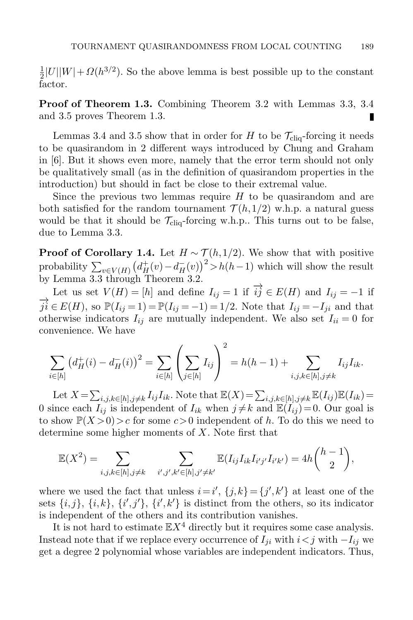1  $\frac{1}{2}|U||W| + \Omega(h^{3/2})$ . So the above lemma is best possible up to the constant factor.

Proof of Theorem [1.3.](#page-4-0) Combining Theorem [3.2](#page-10-0) with Lemmas [3.3,](#page-11-2) [3.4](#page-12-0) and [3.5](#page-13-0) proves Theorem [1.3.](#page-4-0) П

Lemmas [3.4](#page-12-0) and [3.5](#page-13-0) show that in order for H to be  $\mathcal{T}_{\text{clia}}$ -forcing it needs to be quasirandom in 2 different ways introduced by Chung and Graham in [\[6\]](#page-31-3). But it shows even more, namely that the error term should not only be qualitatively small (as in the definition of quasirandom properties in the introduction) but should in fact be close to their extremal value.

Since the previous two lemmas require  $H$  to be quasirandom and are both satisfied for the random tournament  $\mathcal{T}(h,1/2)$  w.h.p. a natural guess would be that it should be  $\mathcal{T}_{\text{cliq}}$ -forcing w.h.p.. This turns out to be false, due to Lemma [3.3.](#page-11-2)

**Proof of Corollary [1.4.](#page-4-1)** Let  $H \sim \mathcal{T}(h,1/2)$ . We show that with positive probability  $\sum_{v \in V(H)} (d_H^+(v) - d_H^-(v))^2 > h(h-1)$  which will show the result by Lemma [3.3](#page-11-2) through Theorem [3.2.](#page-10-0)

Let us set  $V(H) = [h]$  and define  $I_{ij} = 1$  if  $\overrightarrow{ij} \in E(H)$  and  $I_{ij} = -1$  if  $\overrightarrow{ji} \in E(H)$ , so  $\mathbb{P}(I_{ij} = 1) = \mathbb{P}(I_{ij} = -1) = 1/2$ . Note that  $I_{ij} = -I_{ji}$  and that otherwise indicators  $I_{ij}$  are mutually independent. We also set  $I_{ii} = 0$  for convenience. We have

$$
\sum_{i \in [h]} \left( d^+_H(i) - d^-_H(i) \right)^2 = \sum_{i \in [h]} \left( \sum_{j \in [h]} I_{ij} \right)^2 = h(h-1) + \sum_{i,j,k \in [h], j \neq k} I_{ij} I_{ik}.
$$

Let  $X = \sum_{i,j,k \in [h],j \neq k} I_{ij}I_{ik}$ . Note that  $\mathbb{E}(X) = \sum_{i,j,k \in [h],j \neq k} \mathbb{E}(I_{ij})\mathbb{E}(I_{ik}) =$ 0 since each  $I_{ij}$  is independent of  $I_{ik}$  when  $j \neq k$  and  $\mathbb{E}(I_{ij})=0$ . Our goal is to show  $\mathbb{P}(X > 0) > c$  for some  $c > 0$  independent of h. To do this we need to determine some higher moments of X. Note first that

$$
\mathbb{E}(X^2) = \sum_{i,j,k \in [h], j \neq k} \sum_{i',j',k' \in [h], j' \neq k'} \mathbb{E}(I_{ij}I_{ik}I_{i'j'}I_{i'k'}) = 4h\binom{h-1}{2},
$$

where we used the fact that unless  $i = i'$ ,  $\{j,k\} = \{j',k'\}$  at least one of the sets  $\{i,j\},\ \{i,k\},\ \{i',j'\},\ \{i',k'\}$  is distinct from the others, so its indicator is independent of the others and its contribution vanishes.

It is not hard to estimate  $\mathbb{E} X^4$  directly but it requires some case analysis. Instead note that if we replace every occurrence of  $I_{ii}$  with  $i < j$  with  $-I_{ij}$  we get a degree 2 polynomial whose variables are independent indicators. Thus,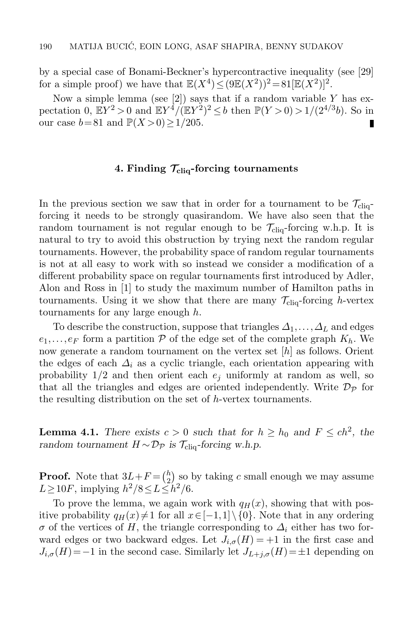by a special case of Bonami-Beckner's hypercontractive inequality (see [\[29\]](#page-32-17) for a simple proof) we have that  $\mathbb{E}(X^4) \leq (9\mathbb{E}(X^2))^2 = 81[\mathbb{E}(X^2)]^2$ .

Now a simple lemma (see [\[2\]](#page-31-11)) says that if a random variable  $Y$  has expectation 0,  $\mathbb{E}Y^2 > 0$  and  $\mathbb{E}Y^4/(\mathbb{E}Y^2)^2 \le b$  then  $\mathbb{P}(Y > 0) > 1/(2^{4/3}b)$ . So in our case  $b=81$  and  $\mathbb{P}(X>0)\geq 1/205$ .

#### 4. Finding  $\mathcal{T}_{\text{cliq}}$ -forcing tournaments

<span id="page-15-0"></span>In the previous section we saw that in order for a tournament to be  $\mathcal{T}_{\text{cliq}}$ forcing it needs to be strongly quasirandom. We have also seen that the random tournament is not regular enough to be  $\mathcal{T}_{\text{cliq}}$ -forcing w.h.p. It is natural to try to avoid this obstruction by trying next the random regular tournaments. However, the probability space of random regular tournaments is not at all easy to work with so instead we consider a modification of a different probability space on regular tournaments first introduced by Adler, Alon and Ross in [\[1\]](#page-31-12) to study the maximum number of Hamilton paths in tournaments. Using it we show that there are many  $\mathcal{T}_{\text{clig}}$ -forcing h-vertex tournaments for any large enough h.

To describe the construction, suppose that triangles  $\Delta_1,\ldots,\Delta_L$  and edges  $e_1,\ldots,e_F$  form a partition P of the edge set of the complete graph  $K_h$ . We now generate a random tournament on the vertex set [h] as follows. Orient the edges of each  $\Delta_i$  as a cyclic triangle, each orientation appearing with probability  $1/2$  and then orient each  $e_i$  uniformly at random as well, so that all the triangles and edges are oriented independently. Write  $\mathcal{D}_{\mathcal{P}}$  for the resulting distribution on the set of h-vertex tournaments.

<span id="page-15-1"></span>**Lemma 4.1.** There exists  $c > 0$  such that for  $h \geq h_0$  and  $F \leq ch^2$ , the random tournament  $H \sim \mathcal{D}_{\mathcal{P}}$  is  $\mathcal{T}_{\text{cliq}}$ -forcing w.h.p.

**Proof.** Note that  $3L+F=(\frac{h}{2})$  $\binom{h}{2}$  so by taking c small enough we may assume  $L \ge 10F$ , implying  $h^2/8 \le L \le h^2/6$ .

To prove the lemma, we again work with  $q_H(x)$ , showing that with positive probability  $q_H(x) \neq 1$  for all  $x \in [-1,1] \setminus \{0\}$ . Note that in any ordering  $\sigma$  of the vertices of H, the triangle corresponding to  $\Delta_i$  either has two forward edges or two backward edges. Let  $J_{i,\sigma}(H) = +1$  in the first case and  $J_{i,\sigma}(H)=-1$  in the second case. Similarly let  $J_{L+j,\sigma}(H)=\pm 1$  depending on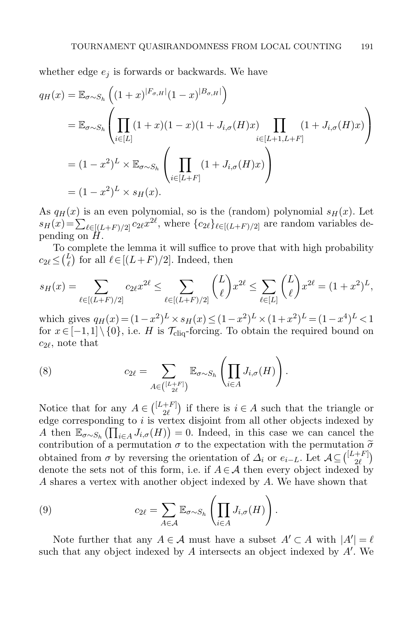whether edge  $e_i$  is forwards or backwards. We have

$$
q_H(x) = \mathbb{E}_{\sigma \sim S_h} \left( (1+x)^{|F_{\sigma,H}|} (1-x)^{|B_{\sigma,H}|} \right)
$$
  
\n
$$
= \mathbb{E}_{\sigma \sim S_h} \left( \prod_{i \in [L]} (1+x)(1-x)(1+J_{i,\sigma}(H)x) \prod_{i \in [L+1,L+F]} (1+J_{i,\sigma}(H)x) \right)
$$
  
\n
$$
= (1-x^2)^L \times \mathbb{E}_{\sigma \sim S_h} \left( \prod_{i \in [L+F]} (1+J_{i,\sigma}(H)x) \right)
$$
  
\n
$$
= (1-x^2)^L \times s_H(x).
$$

As  $q_H(x)$  is an even polynomial, so is the (random) polynomial  $s_H(x)$ . Let  $s_H(x) = \sum_{\ell \in [(L+F)/2]} c_{2\ell} x^{2\ell}$ , where  $\{c_{2\ell}\}_{\ell \in [(L+F)/2]}$  are random variables depending on  $\hat{H}$ .

To complete the lemma it will suffice to prove that with high probability  $c_{2\ell} \leq {L \choose \ell}$  for all  $\ell \in [(L+F)/2]$ . Indeed, then

$$
s_H(x) = \sum_{\ell \in [(L+F)/2]} c_{2\ell} x^{2\ell} \le \sum_{\ell \in [(L+F)/2]} \binom{L}{\ell} x^{2\ell} \le \sum_{\ell \in [L]} \binom{L}{\ell} x^{2\ell} = (1+x^2)^L,
$$

which gives  $q_H(x) = (1 - x^2)^L \times s_H(x) \leq (1 - x^2)^L \times (1 + x^2)^L = (1 - x^4)^L < 1$ for  $x \in [-1,1] \setminus \{0\}$ , i.e. H is  $\mathcal{T}_{\text{clia}}$ -forcing. To obtain the required bound on  $c_{2\ell}$ , note that

(8) 
$$
c_{2\ell} = \sum_{A \in \binom{[L+F]}{2\ell}} \mathbb{E}_{\sigma \sim S_h} \left( \prod_{i \in A} J_{i,\sigma}(H) \right).
$$

Notice that for any  $A \in \binom{[L+F]}{2\ell}$  $\begin{bmatrix} +F \\ 2\ell \end{bmatrix}$  if there is  $i \in A$  such that the triangle or edge corresponding to  $i$  is vertex disjoint from all other objects indexed by A then  $\mathbb{E}_{\sigma \sim S_h}(\prod_{i \in A} J_{i,\sigma}(H)) = 0$ . Indeed, in this case we can cancel the contribution of a permutation  $\sigma$  to the expectation with the permutation  $\tilde{\sigma}$ obtained from  $\sigma$  by reversing the orientation of  $\Delta_i$  or  $e_{i-L}$ . Let  $\mathcal{A} \subseteq \begin{pmatrix} [L+F] \\ 2\ell \end{pmatrix}$  $\binom{+F}{2\ell}$ denote the sets not of this form, i.e. if  $A \in \mathcal{A}$  then every object indexed by A shares a vertex with another object indexed by A. We have shown that

<span id="page-16-0"></span>(9) 
$$
c_{2\ell} = \sum_{A \in \mathcal{A}} \mathbb{E}_{\sigma \sim S_h} \left( \prod_{i \in A} J_{i,\sigma}(H) \right).
$$

Note further that any  $A \in \mathcal{A}$  must have a subset  $A' \subset A$  with  $|A'| = \ell$ such that any object indexed by  $A$  intersects an object indexed by  $A'$ . We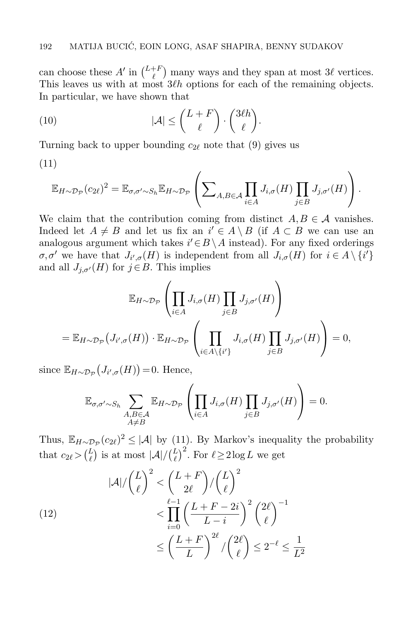can choose these  $A'$  in  $\binom{L+F}{\ell}$  many ways and they span at most  $3\ell$  vertices. This leaves us with at most  $3\ell h$  options for each of the remaining objects. In particular, we have shown that

<span id="page-17-1"></span>(10) 
$$
|\mathcal{A}| \leq {L+F \choose \ell} \cdot {3\ell h \choose \ell}.
$$

Turning back to upper bounding  $c_{2\ell}$  note that [\(9\)](#page-16-0) gives us

<span id="page-17-0"></span>(11)

$$
\mathbb{E}_{H \sim \mathcal{D}_{\mathcal{P}}}(c_{2\ell})^2 = \mathbb{E}_{\sigma, \sigma' \sim S_h} \mathbb{E}_{H \sim \mathcal{D}_{\mathcal{P}}} \left( \sum_{A, B \in \mathcal{A}} \prod_{i \in A} J_{i, \sigma}(H) \prod_{j \in B} J_{j, \sigma'}(H) \right).
$$

We claim that the contribution coming from distinct  $A, B \in \mathcal{A}$  vanishes. Indeed let  $A \neq B$  and let us fix an  $i' \in A \setminus B$  (if  $A \subset B$  we can use an analogous argument which takes  $i' \in B \setminus A$  instead). For any fixed orderings  $\sigma, \sigma'$  we have that  $J_{i',\sigma}(H)$  is independent from all  $J_{i,\sigma}(H)$  for  $i \in A \setminus \{i'\}$ and all  $J_{i,\sigma'}(H)$  for  $j \in B$ . This implies

$$
\mathbb{E}_{H \sim \mathcal{D}_{\mathcal{P}}} \left( \prod_{i \in A} J_{i,\sigma}(H) \prod_{j \in B} J_{j,\sigma'}(H) \right)
$$
  
= 
$$
\mathbb{E}_{H \sim \mathcal{D}_{\mathcal{P}}} \left( J_{i',\sigma}(H) \right) \cdot \mathbb{E}_{H \sim \mathcal{D}_{\mathcal{P}}} \left( \prod_{i \in A \setminus \{i'\}} J_{i,\sigma}(H) \prod_{j \in B} J_{j,\sigma'}(H) \right) = 0,
$$

since  $\mathbb{E}_{H \sim \mathcal{D}_{\mathcal{P}}}(J_{i',\sigma}(H)) = 0$ . Hence,

$$
\mathbb{E}_{\sigma,\sigma'\sim S_h}\sum_{\substack{A,B\in\mathcal{A}\\A\neq B}}\mathbb{E}_{H\sim\mathcal{D}_{\mathcal{P}}}\left(\prod_{i\in A}J_{i,\sigma}(H)\prod_{j\in B}J_{j,\sigma'}(H)\right)=0.
$$

Thus,  $\mathbb{E}_{H\sim\mathcal{D}_{\mathcal{P}}}(c_{2\ell})^2 \leq |\mathcal{A}|$  by [\(11\)](#page-17-0). By Markov's inequality the probability that  $c_{2\ell} > \binom{L}{\ell}$  is at most  $|\mathcal{A}| / \binom{L}{\ell}^2$ . For  $\ell \ge 2 \log L$  we get

(12)  

$$
|\mathcal{A}|/\binom{L}{\ell}^2 < \binom{L+F}{2\ell}/\binom{L}{\ell}^2 < \prod_{i=0}^{\ell-1} \left(\frac{L+F-2i}{L-i}\right)^2 \binom{2\ell}{\ell}^{-1} < \left(\frac{L+F}{L}\right)^{2\ell}/\binom{2\ell}{\ell} \le 2^{-\ell} \le \frac{1}{L^2}
$$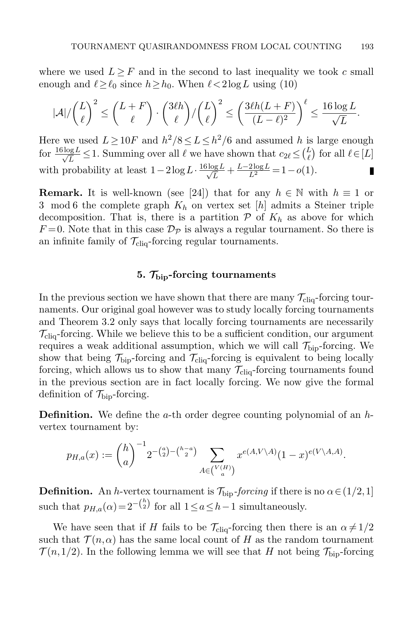where we used  $L \geq F$  and in the second to last inequality we took c small enough and  $\ell \geq \ell_0$  since  $h \geq h_0$ . When  $\ell < 2 \log L$  using [\(10\)](#page-17-1)

$$
|\mathcal{A}|/\binom{L}{\ell}^2 \le \binom{L+F}{\ell} \cdot \binom{3\ell h}{\ell}/\binom{L}{\ell}^2 \le \left(\frac{3\ell h(L+F)}{(L-\ell)^2}\right)^{\ell} \le \frac{16\log L}{\sqrt{L}}.
$$

Here we used  $L \ge 10F$  and  $h^2/8 \le L \le h^2/6$  and assumed h is large enough for  $\frac{16 \log L}{\sqrt{L}} \leq 1$ . Summing over all  $\ell$  we have shown that  $c_{2\ell} \leq {L \choose \ell}$  for all  $\ell \in [L]$ with probability at least  $1-2\log L \cdot \frac{16\log L}{\sqrt{L}} + \frac{L-2\log L}{L^2} = 1-o(1)$ . П

**Remark.** It is well-known (see [\[24\]](#page-32-14)) that for any  $h \in \mathbb{N}$  with  $h \equiv 1$  or 3 mod 6 the complete graph  $K_h$  on vertex set  $[h]$  admits a Steiner triple decomposition. That is, there is a partition  $P$  of  $K_h$  as above for which  $F=0$ . Note that in this case  $\mathcal{D}_{\mathcal{P}}$  is always a regular tournament. So there is an infinite family of  $\mathcal{T}_{\text{cliq}}$ -forcing regular tournaments.

#### 5.  $\mathcal{T}_{\text{bin}}$ -forcing tournaments

<span id="page-18-0"></span>In the previous section we have shown that there are many  $\mathcal{T}_{\text{cliq}}$ -forcing tournaments. Our original goal however was to study locally forcing tournaments and Theorem [3.2](#page-10-0) only says that locally forcing tournaments are necessarily  $\mathcal{T}_{\text{cliq}}$ -forcing. While we believe this to be a sufficient condition, our argument requires a weak additional assumption, which we will call  $\mathcal{T}_{\text{bip}}$ -forcing. We show that being  $\mathcal{T}_{\text{bip}}$ -forcing and  $\mathcal{T}_{\text{cliq}}$ -forcing is equivalent to being locally forcing, which allows us to show that many  $\mathcal{T}_{\text{clio}}$ -forcing tournaments found in the previous section are in fact locally forcing. We now give the formal definition of  $\mathcal{T}_{\text{bip}}$ -forcing.

**Definition.** We define the  $a$ -th order degree counting polynomial of an  $h$ vertex tournament by:

$$
p_{H,a}(x) := {h \choose a}^{-1} 2^{-{a \choose 2} - {h-a \choose 2}} \sum_{A \in {V(H) \choose a}} x^{e(A, V \setminus A)} (1-x)^{e(V \setminus A, A)}.
$$

**Definition.** An h-vertex tournament is  $\mathcal{T}_{\text{bip}}$ -forcing if there is no  $\alpha \in (1/2,1]$ such that  $p_{H,a}(\alpha) = 2^{-\binom{h}{2}}$  for all  $1 \le a \le h-1$  simultaneously.

We have seen that if H fails to be  $\mathcal{T}_{\text{cliq}}$ -forcing then there is an  $\alpha \neq 1/2$ such that  $\mathcal{T}(n,\alpha)$  has the same local count of H as the random tournament  $\mathcal{T}(n,1/2)$ . In the following lemma we will see that H not being  $\mathcal{T}_{\text{bio}}$ -forcing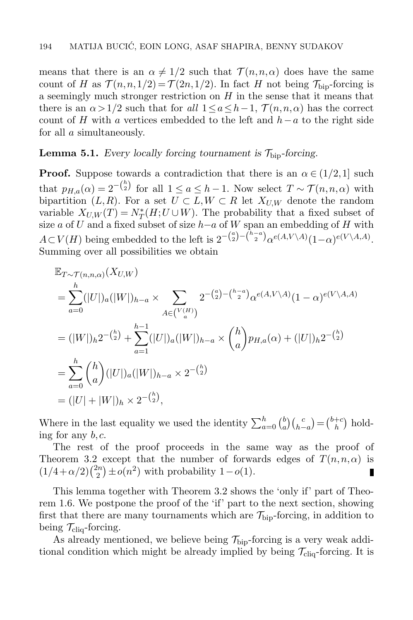means that there is an  $\alpha \neq 1/2$  such that  $\mathcal{T}(n,n,\alpha)$  does have the same count of H as  $\mathcal{T}(n,n,1/2) = \mathcal{T}(2n,1/2)$ . In fact H not being  $\mathcal{T}_{\text{bin}}$ -forcing is a seemingly much stronger restriction on  $H$  in the sense that it means that there is an  $\alpha > 1/2$  such that for all  $1 \le a \le h-1$ ,  $\mathcal{T}(n,n,\alpha)$  has the correct count of H with a vertices embedded to the left and  $h-a$  to the right side for all a simultaneously.

### **Lemma 5.1.** Every locally forcing tournament is  $\mathcal{T}_{\text{bio}}$ -forcing.

**Proof.** Suppose towards a contradiction that there is an  $\alpha \in (1/2,1]$  such that  $p_{H,a}(\alpha) = 2^{-\binom{h}{2}}$  for all  $1 \le a \le h-1$ . Now select  $T \sim \mathcal{T}(n,n,\alpha)$  with bipartition  $(L, R)$ . For a set  $U \subset L, W \subset R$  let  $X_{U,W}$  denote the random variable  $X_{U,W}(T) = N_T^*(H; U \cup W)$ . The probability that a fixed subset of size a of U and a fixed subset of size  $h-a$  of W span an embedding of H with  $A\subset V(H)$  being embedded to the left is  $2^{-\binom{a}{2}-\binom{h-a}{2}}\alpha^{e(A,V\setminus A)}(1-\alpha)^{e(V\setminus A,A)}$ . Summing over all possibilities we obtain

$$
\mathbb{E}_{T \sim \mathcal{T}(n,n,\alpha)}(X_{U,W})
$$
\n
$$
= \sum_{a=0}^{h} (|U|)_{a}(|W|)_{h-a} \times \sum_{A \in (V(H))} 2^{-\binom{a}{2} - \binom{h-a}{2}} \alpha^{e(A,V\setminus A)} (1-\alpha)^{e(V\setminus A,A)}
$$
\n
$$
= (|W|)_{h} 2^{-\binom{h}{2}} + \sum_{a=1}^{h-1} (|U|)_{a}(|W|)_{h-a} \times \binom{h}{a} p_{H,a}(\alpha) + (|U|)_{h} 2^{-\binom{h}{2}}
$$
\n
$$
= \sum_{a=0}^{h} \binom{h}{a} (|U|)_{a} (|W|)_{h-a} \times 2^{-\binom{h}{2}}
$$
\n
$$
= (|U| + |W|)_{h} \times 2^{-\binom{h}{2}},
$$

Where in the last equality we used the identity  $\sum_{a=0}^{h} {b \choose a}$  $\binom{b}{a}\binom{c}{h-a} = \binom{b+c}{h}$  $h^{+c}$ ) holding for any  $b, c$ .

The rest of the proof proceeds in the same way as the proof of Theorem [3.2](#page-10-0) except that the number of forwards edges of  $T(n,n,\alpha)$  is  $(1/4+\alpha/2)\binom{2n}{2}$  $2^{2n/2}$   $\pm o(n^2)$  with probability 1 –  $o(1)$ . П

This lemma together with Theorem [3.2](#page-10-0) shows the 'only if' part of Theorem [1.6.](#page-5-0) We postpone the proof of the 'if' part to the next section, showing first that there are many tournaments which are  $\mathcal{T}_{\text{bio}}$ -forcing, in addition to being  $\mathcal{T}_{\text{cliq}}$ -forcing.

As already mentioned, we believe being  $\mathcal{T}_{\text{bio}}$ -forcing is a very weak additional condition which might be already implied by being  $\mathcal{T}_{\text{cliq}}$ -forcing. It is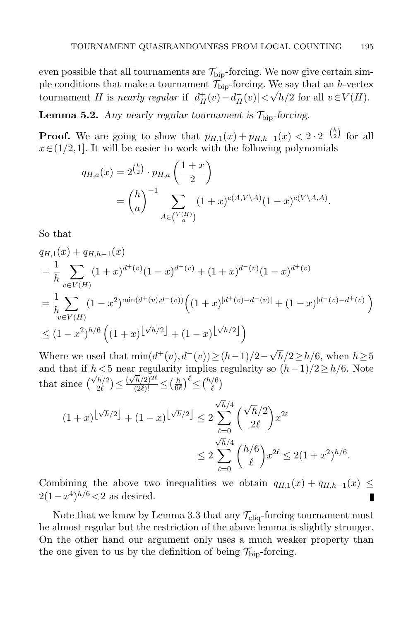even possible that all tournaments are  $\mathcal{T}_{\text{bio}}$ -forcing. We now give certain simple conditions that make a tournament  $\mathcal{T}_{\text{bip}}$ -forcing. We say that an h-vertex tournament H is nearly regular if  $|d_H^+(v) - d_H^-(v)| < \sqrt{h}/2$  for all  $v \in V(H)$ .

<span id="page-20-0"></span>**Lemma 5.2.** Any nearly regular tournament is  $\mathcal{T}_{\text{bip}}$ -forcing.

**Proof.** We are going to show that  $p_{H,1}(x) + p_{H,h-1}(x) < 2 \cdot 2^{-\binom{h}{2}}$  for all  $x \in (1/2, 1]$ . It will be easier to work with the following polynomials

$$
q_{H,a}(x) = 2^{\binom{h}{2}} \cdot p_{H,a} \left( \frac{1+x}{2} \right)
$$
  
=  $\binom{h}{a}^{-1} \sum_{A \in \binom{V(H)}{a}} (1+x)^{e(A,V\setminus A)} (1-x)^{e(V\setminus A,A)}.$ 

So that

$$
q_{H,1}(x) + q_{H,h-1}(x)
$$
  
=  $\frac{1}{h} \sum_{v \in V(H)} (1+x)^{d^+(v)} (1-x)^{d^-(v)} + (1+x)^{d^-(v)} (1-x)^{d^+(v)}$   
=  $\frac{1}{h} \sum_{v \in V(H)} (1-x^2)^{\min(d^+(v),d^-(v))} \left( (1+x)^{|d^+(v)-d^-(v)|} + (1-x)^{|d^-(v)-d^+(v)|} \right)$   
 $\leq (1-x^2)^{h/6} \left( (1+x)^{\lfloor \sqrt{h}/2 \rfloor} + (1-x)^{\lfloor \sqrt{h}/2 \rfloor} \right)$ 

Where we used that  $\min(d^+(v), d^-(v)) \ge (h-1)/2 - \sqrt{2}$  $h/2 \geq h/6$ , when  $h \geq 5$ and that if  $h < 5$  near regularity implies regularity so  $(h-1)/2 \ge h/6$ . Note that since  $\begin{pmatrix} \sqrt{h}/2 \\ 2\ell \end{pmatrix}$  $\left(\frac{\overline{h}}{2\ell}\right) \leq \frac{(\sqrt{h}/2)^{2\ell}}{(2\ell)!} \leq \left(\frac{h}{6\ell}\right)$  $\left(\frac{h}{6\ell}\right)^{\ell} \leq \left(\frac{h/6}{\ell}\right)$  $\binom{6}{\ell}$ 

$$
(1+x)^{\lfloor \sqrt{h}/2 \rfloor} + (1-x)^{\lfloor \sqrt{h}/2 \rfloor} \le 2 \sum_{\ell=0}^{\sqrt{h}/4} {\binom{\sqrt{h}/2}{2\ell}} x^{2\ell}
$$
  

$$
\le 2 \sum_{\ell=0}^{\sqrt{h}/4} {\binom{h/6}{\ell}} x^{2\ell} \le 2(1+x^2)^{h/6}.
$$

Combining the above two inequalities we obtain  $q_{H,1}(x) + q_{H,h-1}(x) \leq$  $2(1-x^4)^{h/6}$  < 2 as desired. п

Note that we know by Lemma [3.3](#page-11-2) that any  $\mathcal{T}_{\text{cliq}}$ -forcing tournament must be almost regular but the restriction of the above lemma is slightly stronger. On the other hand our argument only uses a much weaker property than the one given to us by the definition of being  $\mathcal{T}_{\text{bip}}$ -forcing.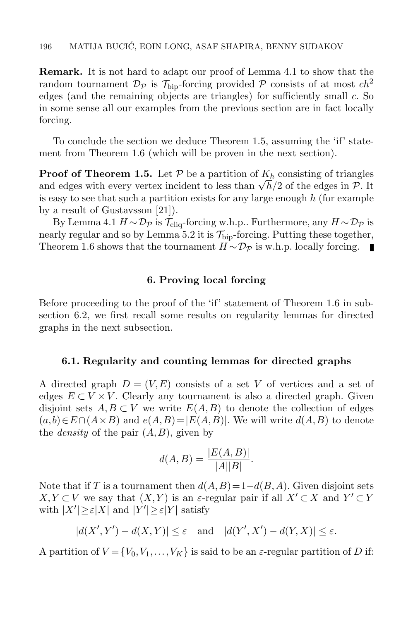Remark. It is not hard to adapt our proof of Lemma [4.1](#page-15-1) to show that the random tournament  $\mathcal{D}_{\mathcal{P}}$  is  $\mathcal{T}_{\text{bio}}$ -forcing provided  $\mathcal{P}$  consists of at most  $ch^2$ edges (and the remaining objects are triangles) for sufficiently small  $c$ . So in some sense all our examples from the previous section are in fact locally forcing.

To conclude the section we deduce Theorem [1.5,](#page-4-2) assuming the 'if' statement from Theorem [1.6](#page-5-0) (which will be proven in the next section).

**Proof of Theorem [1.5.](#page-4-2)** Let  $P$  be a partition of  $K_h$  consisting of triangles **Proof of Theorem 1.5.** Let P be a partition of  $R_h$  consisting of triangles and edges with every vertex incident to less than  $\sqrt{h}/2$  of the edges in P. It is easy to see that such a partition exists for any large enough  $h$  (for example by a result of Gustavsson [\[21\]](#page-32-18)).

By Lemma [4.1](#page-15-1)  $H \sim \mathcal{D}_{\mathcal{P}}$  is  $\mathcal{T}_{\text{clia}}$ -forcing w.h.p.. Furthermore, any  $H \sim \mathcal{D}_{\mathcal{P}}$  is nearly regular and so by Lemma [5.2](#page-20-0) it is  $\mathcal{T}_{\text{bin}}$ -forcing. Putting these together, Theorem [1.6](#page-5-0) shows that the tournament  $H \sim \mathcal{D}_{\mathcal{P}}$  is w.h.p. locally forcing.

### 6. Proving local forcing

<span id="page-21-0"></span>Before proceeding to the proof of the 'if' statement of Theorem [1.6](#page-5-0) in subsection [6.2,](#page-23-0) we first recall some results on regularity lemmas for directed graphs in the next subsection.

#### 6.1. Regularity and counting lemmas for directed graphs

A directed graph  $D = (V, E)$  consists of a set V of vertices and a set of edges  $E \subset V \times V$ . Clearly any tournament is also a directed graph. Given disjoint sets  $A, B \subset V$  we write  $E(A, B)$  to denote the collection of edges  $(a, b) \in E \cap (A \times B)$  and  $e(A, B) = |E(A, B)|$ . We will write  $d(A, B)$  to denote the *density* of the pair  $(A, B)$ , given by

$$
d(A, B) = \frac{|E(A, B)|}{|A||B|}.
$$

Note that if T is a tournament then  $d(A, B) = 1 - d(B, A)$ . Given disjoint sets  $X, Y \subset V$  we say that  $(X, Y)$  is an  $\varepsilon$ -regular pair if all  $X' \subset X$  and  $Y' \subset Y$ with  $|X'| \geq \varepsilon |X|$  and  $|Y'| \geq \varepsilon |Y|$  satisfy

$$
|d(X',Y') - d(X,Y)| \le \varepsilon \quad \text{and} \quad |d(Y',X') - d(Y,X)| \le \varepsilon.
$$

A partition of  $V = \{V_0, V_1, \ldots, V_K\}$  is said to be an  $\varepsilon$ -regular partition of D if: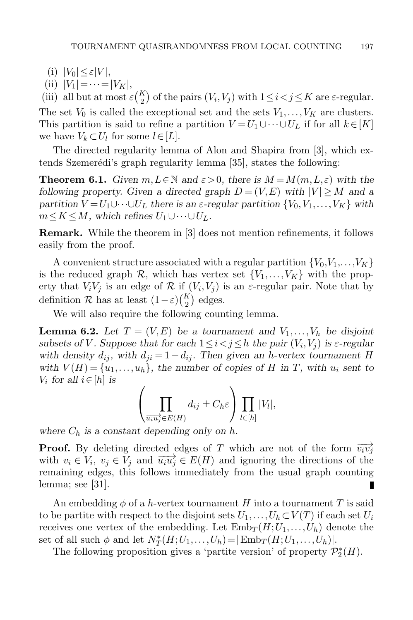$(i)$   $|V_0| \leq \varepsilon |V|$ ,

(ii)  $|V_1| = \cdots = |V_K|$ ,

(iii) all but at most  $\varepsilon {K \choose 2}$  of the pairs  $(V_i, V_j)$  with  $1 \leq i < j \leq K$  are  $\varepsilon$ -regular. The set  $V_0$  is called the exceptional set and the sets  $V_1, \ldots, V_K$  are clusters. This partition is said to refine a partition  $V = U_1 \cup \cdots \cup U_L$  if for all  $k \in [K]$ we have  $V_k \subset U_l$  for some  $l \in [L]$ .

The directed regularity lemma of Alon and Shapira from [\[3\]](#page-31-13), which ex-tends Szemerédi's graph regularity lemma [\[35\]](#page-32-19), states the following:

<span id="page-22-0"></span>**Theorem 6.1.** Given  $m, L \in \mathbb{N}$  and  $\varepsilon > 0$ , there is  $M = M(m, L, \varepsilon)$  with the following property. Given a directed graph  $D = (V, E)$  with  $|V| \geq M$  and a partition  $V = U_1 \cup \cdots \cup U_L$  there is an  $\varepsilon$ -regular partition  $\{V_0, V_1, \ldots, V_K\}$  with  $m \leq K \leq M$ , which refines  $U_1 \cup \cdots \cup U_L$ .

Remark. While the theorem in [\[3\]](#page-31-13) does not mention refinements, it follows easily from the proof.

A convenient structure associated with a regular partition  $\{V_0, V_1, \ldots, V_K\}$ is the reduced graph  $\mathcal{R}$ , which has vertex set  $\{V_1,\ldots,V_K\}$  with the property that  $V_i V_j$  is an edge of R if  $(V_i, V_j)$  is an  $\varepsilon$ -regular pair. Note that by definition  $R$  has at least  $(1 - \varepsilon) {K \choose 2}$  edges.

We will also require the following counting lemma.

<span id="page-22-1"></span>**Lemma 6.2.** Let  $T = (V, E)$  be a tournament and  $V_1, \ldots, V_h$  be disjoint subsets of V. Suppose that for each  $1 \leq i < j \leq h$  the pair  $(V_i, V_j)$  is  $\varepsilon$ -regular with density  $d_{ij}$ , with  $d_{ji} = 1 - d_{ij}$ . Then given an h-vertex tournament H with  $V(H) = \{u_1, \ldots, u_h\}$ , the number of copies of H in T, with  $u_i$  sent to  $V_i$  for all  $i \in [h]$  is

$$
\left(\prod_{\overrightarrow{u_iu_j}\in E(H)}d_{ij}\pm C_h\varepsilon\right)\prod_{l\in[h]}|V_l|,
$$

where  $C_h$  is a constant depending only on h.

**Proof.** By deleting directed edges of T which are not of the form  $\overrightarrow{v_iv_j}$ with  $v_i \in V_i$ ,  $v_j \in V_j$  and  $\overrightarrow{u_i u_j} \in E(H)$  and ignoring the directions of the remaining edges, this follows immediately from the usual graph counting lemma; see [\[31\]](#page-32-20). П

An embedding  $\phi$  of a h-vertex tournament H into a tournament T is said to be partite with respect to the disjoint sets  $U_1,\ldots,U_h\subset V(T)$  if each set  $U_i$ receives one vertex of the embedding. Let  $\text{Emb}_T(H;U_1,\ldots,U_h)$  denote the set of all such  $\phi$  and let  $N_T^*(H; U_1, \ldots, U_h) = |\text{Emb}_T(H; U_1, \ldots, U_h)|$ .

<span id="page-22-2"></span>The following proposition gives a 'partite version' of property  $\mathcal{P}_2^*(H)$ .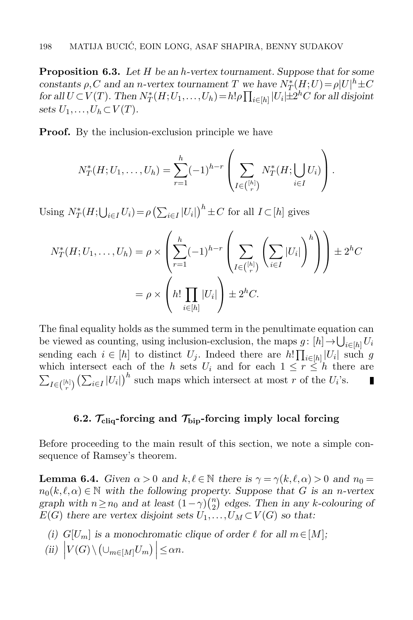**Proposition 6.3.** Let H be an h-vertex tournament. Suppose that for some constants  $\rho$ , C and an n-vertex tournament T we have  $N^*_T(H;U) = \rho |U|^h \pm C$ for all  $U \subset V(T)$ . Then  $N_T^*(H;U_1,\ldots,U_h) = h! \rho \prod_{i \in [h]} |U_i| \pm 2^hC$  for all disjoint sets  $U_1,\ldots,U_h\subset V(T)$ .

**Proof.** By the inclusion-exclusion principle we have

$$
N_T^*(H; U_1, \ldots, U_h) = \sum_{r=1}^h (-1)^{h-r} \left( \sum_{I \in \binom{[h]}{r}} N_T^*(H; \bigcup_{i \in I} U_i) \right).
$$

Using  $N_T^*(H; \bigcup_{i \in I} U_i) = \rho \left(\sum_{i \in I} |U_i|\right)^h \pm C$  for all  $I \subset [h]$  gives

$$
N_T^*(H; U_1, \dots, U_h) = \rho \times \left( \sum_{r=1}^h (-1)^{h-r} \left( \sum_{I \in \binom{[h]}{r}} \left( \sum_{i \in I} |U_i| \right)^h \right) \right) \pm 2^h C
$$
  
=  $\rho \times \left( h! \prod_{i \in [h]} |U_i| \right) \pm 2^h C.$ 

The final equality holds as the summed term in the penultimate equation can be viewed as counting, using inclusion-exclusion, the maps  $g: [h] \to \bigcup_{i \in [h]} U_i$ sending each  $i \in [h]$  to distinct  $U_j$ . Indeed there are  $h! \prod_{i \in [h]} |U_i|$  such g which intersect each of the h sets  $U_i$  and for each  $1 \leq r \leq h$  there are  $\sum_{I \in \binom{[h]}{r}} \left(\sum_{i \in I} |U_i|\right)^h$  such maps which intersect at most r of the  $U_i$ 's. П

## 6.2.  $\mathcal{T}_{\text{clia}}$ -forcing and  $\mathcal{T}_{\text{bio}}$ -forcing imply local forcing

<span id="page-23-0"></span>Before proceeding to the main result of this section, we note a simple consequence of Ramsey's theorem.

<span id="page-23-1"></span>**Lemma 6.4.** Given  $\alpha > 0$  and  $k, \ell \in \mathbb{N}$  there is  $\gamma = \gamma(k, \ell, \alpha) > 0$  and  $n_0 =$  $n_0(k, \ell, \alpha) \in \mathbb{N}$  with the following property. Suppose that G is an n-vertex graph with  $n \ge n_0$  and at least  $(1 - \gamma) \binom{n_0}{2}$  $\binom{n}{2}$  edges. Then in any k-colouring of  $E(G)$  there are vertex disjoint sets  $U_1, \ldots, U_M \subset V(G)$  so that:

- (i)  $G[U_m]$  is a monochromatic clique of order  $\ell$  for all  $m \in [M];$
- $(ii)$  $V(G) \setminus (\cup_{m \in [M]} U_m) \Big| \le \alpha n.$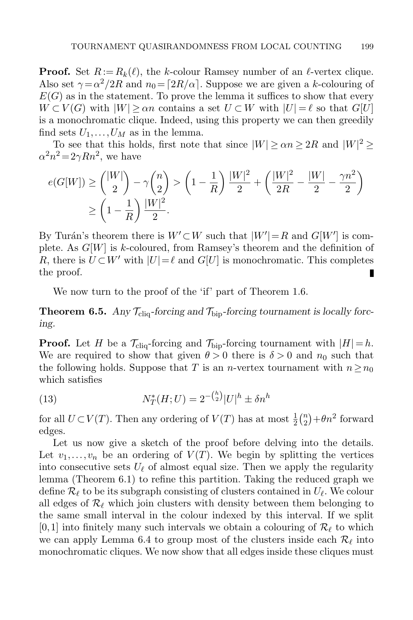**Proof.** Set  $R := R_k(\ell)$ , the k-colour Ramsey number of an  $\ell$ -vertex clique. Also set  $\gamma = \alpha^2/2R$  and  $n_0 = \lfloor 2R/\alpha \rfloor$ . Suppose we are given a k-colouring of  $E(G)$  as in the statement. To prove the lemma it suffices to show that every  $W \subset V(G)$  with  $|W| \geq \alpha n$  contains a set  $U \subset W$  with  $|U| = \ell$  so that  $G[U]$ is a monochromatic clique. Indeed, using this property we can then greedily find sets  $U_1, \ldots, U_M$  as in the lemma.

To see that this holds, first note that since  $|W| \ge \alpha n \ge 2R$  and  $|W|^2 \ge$  $\alpha^2 n^2 = 2\gamma R n^2$ , we have

$$
e(G[W]) \ge { |W| \choose 2} - \gamma {n \choose 2} > \left(1 - \frac{1}{R}\right) \frac{|W|^2}{2} + \left( \frac{|W|^2}{2R} - \frac{|W|}{2} - \frac{\gamma n^2}{2} \right) \ge \left(1 - \frac{1}{R}\right) \frac{|W|^2}{2}.
$$

By Turán's theorem there is  $W' \subset W$  such that  $|W'| = R$  and  $G[W']$  is complete. As  $G[W]$  is k-coloured, from Ramsey's theorem and the definition of R, there is  $U \subset W'$  with  $|U| = \ell$  and  $G[U]$  is monochromatic. This completes the proof. П

We now turn to the proof of the 'if' part of Theorem [1.6.](#page-5-0)

**Theorem 6.5.** Any  $\mathcal{T}_{\text{cliq}}$ -forcing and  $\mathcal{T}_{\text{bio}}$ -forcing tournament is locally forcing.

**Proof.** Let H be a  $\mathcal{T}_{\text{clic}}$ -forcing and  $\mathcal{T}_{\text{bin}}$ -forcing tournament with  $|H| = h$ . We are required to show that given  $\theta > 0$  there is  $\delta > 0$  and  $n_0$  such that the following holds. Suppose that T is an n-vertex tournament with  $n \geq n_0$ which satisfies

<span id="page-24-0"></span>(13) 
$$
N_T^*(H;U) = 2^{-\binom{h}{2}}|U|^h \pm \delta n^h
$$

for all  $U \subset V(T)$ . Then any ordering of  $V(T)$  has at most  $\frac{1}{2} {n \choose 2}$  $n \choose 2} + \theta n^2$  forward edges.

Let us now give a sketch of the proof before delving into the details. Let  $v_1, \ldots, v_n$  be an ordering of  $V(T)$ . We begin by splitting the vertices into consecutive sets  $U_{\ell}$  of almost equal size. Then we apply the regularity lemma (Theorem [6.1\)](#page-22-0) to refine this partition. Taking the reduced graph we define  $\mathcal{R}_{\ell}$  to be its subgraph consisting of clusters contained in  $U_{\ell}$ . We colour all edges of  $\mathcal{R}_{\ell}$  which join clusters with density between them belonging to the same small interval in the colour indexed by this interval. If we split [0,1] into finitely many such intervals we obtain a colouring of  $\mathcal{R}_{\ell}$  to which we can apply Lemma [6.4](#page-23-1) to group most of the clusters inside each  $\mathcal{R}_{\ell}$  into monochromatic cliques. We now show that all edges inside these cliques must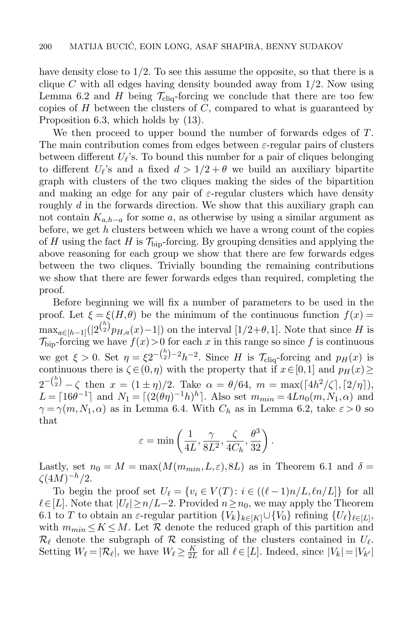have density close to 1/2. To see this assume the opposite, so that there is a clique C with all edges having density bounded away from  $1/2$ . Now using Lemma [6.2](#page-22-1) and H being  $\mathcal{T}_{\text{cliq}}$ -forcing we conclude that there are too few copies of  $H$  between the clusters of  $C$ , compared to what is guaranteed by Proposition [6.3,](#page-22-2) which holds by [\(13\)](#page-24-0).

We then proceed to upper bound the number of forwards edges of T. The main contribution comes from edges between  $\varepsilon$ -regular pairs of clusters between different  $U_{\ell}$ 's. To bound this number for a pair of cliques belonging to different  $U_{\ell}$ 's and a fixed  $d > 1/2 + \theta$  we build an auxiliary bipartite graph with clusters of the two cliques making the sides of the bipartition and making an edge for any pair of  $\varepsilon$ -regular clusters which have density roughly d in the forwards direction. We show that this auxiliary graph can not contain  $K_{a,h-a}$  for some a, as otherwise by using a similar argument as before, we get h clusters between which we have a wrong count of the copies of H using the fact H is  $\mathcal{T}_{\text{bip}}$ -forcing. By grouping densities and applying the above reasoning for each group we show that there are few forwards edges between the two cliques. Trivially bounding the remaining contributions we show that there are fewer forwards edges than required, completing the proof.

Before beginning we will fix a number of parameters to be used in the proof. Let  $\xi = \xi(H,\theta)$  be the minimum of the continuous function  $f(x) =$  $\max_{a \in [h-1]} (|2^{\binom{h}{2}} p_{H,a}(x) - 1|)$  on the interval  $[1/2 + \theta, 1]$ . Note that since H is  $\mathcal{T}_{\text{bip}}$ -forcing we have  $f(x) > 0$  for each x in this range so since f is continuous we get  $\xi > 0$ . Set  $\eta = \xi 2^{-\binom{h}{2}-2}h^{-2}$ . Since H is  $\mathcal{T}_{\text{cliq}}$ -forcing and  $p_H(x)$  is continuous there is  $\zeta \in (0, \eta)$  with the property that if  $x \in [0,1]$  and  $p_H(x) \ge$  $2^{-{h \choose 2}} - \zeta$  then  $x = (1 \pm \eta)/2$ . Take  $\alpha = \theta/64$ ,  $m = \max(\lceil 4h^2/\zeta \rceil, \lceil 2/\eta \rceil)$ ,  $L = \lceil 16\theta^{-1} \rceil$  and  $N_1 = \lceil (2(\theta \eta)^{-1} h)^h \rceil$ . Also set  $m_{min} = 4Ln_0(m, N_1, \alpha)$  and  $\gamma = \gamma(m, N_1, \alpha)$  as in Lemma [6.4.](#page-23-1) With  $C_h$  as in Lemma [6.2,](#page-22-1) take  $\varepsilon > 0$  so that

$$
\varepsilon = \min\left(\frac{1}{4L}, \frac{\gamma}{8L^2}, \frac{\zeta}{4C_h}, \frac{\theta^3}{32}\right).
$$

Lastly, set  $n_0 = M = \max(M(m_{min}, L, \varepsilon), 8L)$  as in Theorem [6.1](#page-22-0) and  $\delta =$  $\zeta(4M)^{-h}/2.$ 

To begin the proof set  $U_{\ell} = \{v_i \in V(T): i \in ((\ell - 1)n/L, \ell n/L]\}\)$  for all  $\ell \in [L]$ . Note that  $|U_{\ell}| \geq n/L-2$ . Provided  $n \geq n_0$ , we may apply the Theorem [6.1](#page-22-0) to T to obtain an  $\varepsilon$ -regular partition  ${V_k}_{k \in [K]} \cup {V_0}$  refining  ${U_\ell}_{\ell \in [L]}$ , with  $m_{min} \leq K \leq M$ . Let R denote the reduced graph of this partition and  $\mathcal{R}_{\ell}$  denote the subgraph of  $\mathcal R$  consisting of the clusters contained in  $U_{\ell}$ . Setting  $W_{\ell} = |\mathcal{R}_{\ell}|$ , we have  $W_{\ell} \geq \frac{K}{2l}$  $\frac{K}{2L}$  for all  $\ell \in [L]$ . Indeed, since  $|V_k| = |V_{k'}|$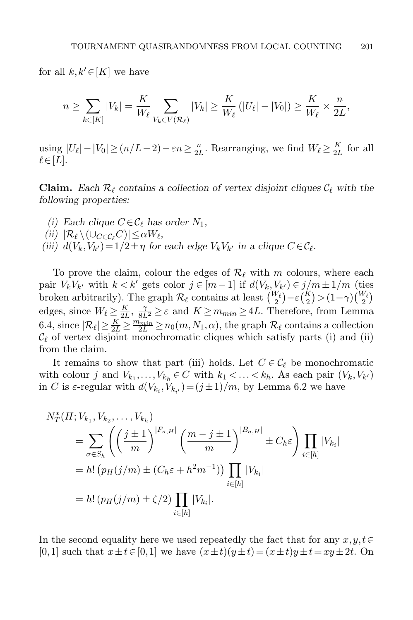for all  $k, k' \in [K]$  we have

$$
n \geq \sum_{k \in [K]} |V_k| = \frac{K}{W_{\ell}} \sum_{V_k \in V(\mathcal{R}_{\ell})} |V_k| \geq \frac{K}{W_{\ell}} \left( |U_{\ell}| - |V_0| \right) \geq \frac{K}{W_{\ell}} \times \frac{n}{2L},
$$

using  $|U_{\ell}| - |V_0| \ge (n/L - 2) - \varepsilon n \ge \frac{n}{2l}$  $\frac{n}{2L}$ . Rearranging, we find  $W_{\ell} \ge \frac{K}{2L}$  $\frac{R}{2L}$  for all  $\ell \in [L]$ .

**Claim.** Each  $\mathcal{R}_\ell$  contains a collection of vertex disjoint cliques  $\mathcal{C}_\ell$  with the following properties:

- (i) Each clique  $C \in \mathcal{C}_{\ell}$  has order  $N_1$ ,
- (ii)  $|\mathcal{R}_{\ell} \setminus (\cup_{C \in \mathcal{C}_{\ell}} C)| \leq \alpha W_{\ell},$
- (iii)  $d(V_k, V_{k'}) = 1/2 \pm \eta$  for each edge  $V_k V_{k'}$  in a clique  $C \in \mathcal{C}_{\ell}$ .

To prove the claim, colour the edges of  $\mathcal{R}_{\ell}$  with m colours, where each pair  $V_k V_{k'}$  with  $k < k'$  gets color  $j \in [m-1]$  if  $d(V_k, V_{k'}) \in j/m \pm 1/m$  (ties broken arbitrarily). The graph  $\mathcal{R}_{\ell}$  contains at least  $\binom{W_{\ell}}{2} - \varepsilon \binom{K}{2} > (1 - \gamma) \binom{W_{\ell}}{2}$ edges, since  $W_{\ell} \ge \frac{K}{2L}$  $\frac{K}{2L}$ ,  $\frac{\gamma}{8L^2} \geq \varepsilon$  and  $K \geq m_{min} \geq 4L$ . Therefore, from Lemma [6.4,](#page-23-1) since  $|\mathcal{R}_{\ell}| \geq \frac{K}{2L} \geq \frac{m_{min}}{2L} \geq n_0(m,N_1,\alpha)$ , the graph  $\mathcal{R}_{\ell}$  contains a collection  $\mathcal{C}_{\ell}$  of vertex disjoint monochromatic cliques which satisfy parts (i) and (ii) from the claim.

It remains to show that part (iii) holds. Let  $C \in \mathcal{C}_{\ell}$  be monochromatic with colour j and  $V_{k_1}, \ldots, V_{k_h} \in C$  with  $k_1 < \ldots < k_h$ . As each pair  $(V_k, V_{k'})$ in C is  $\varepsilon$ -regular with  $d(V_{k_i}, V_{k_{i'}})=(j\pm 1)/m$ , by Lemma [6.2](#page-22-1) we have

$$
N_T^*(H; V_{k_1}, V_{k_2}, \dots, V_{k_h})
$$
  
=  $\sum_{\sigma \in S_h} \left( \left( \frac{j \pm 1}{m} \right)^{|F_{\sigma,H}|} \left( \frac{m - j \pm 1}{m} \right)^{|B_{\sigma,H}|} \pm C_h \varepsilon \right) \prod_{i \in [h]} |V_{k_i}|$   
=  $h! (p_H(j/m) \pm (C_h \varepsilon + h^2 m^{-1})) \prod_{i \in [h]} |V_{k_i}|$   
=  $h! (p_H(j/m) \pm \zeta/2) \prod_{i \in [h]} |V_{k_i}|.$ 

In the second equality here we used repeatedly the fact that for any  $x, y, t \in$ [0,1] such that  $x \pm t \in [0,1]$  we have  $(x \pm t)(y \pm t) = (x \pm t)y \pm t = xy \pm 2t$ . On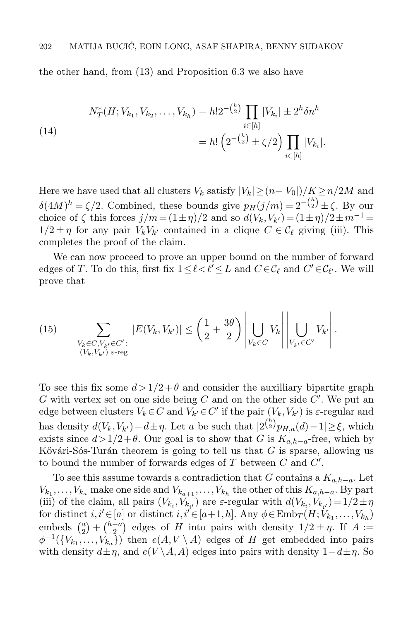the other hand, from [\(13\)](#page-24-0) and Proposition [6.3](#page-22-2) we also have

<span id="page-27-0"></span>(14)  

$$
N_T^*(H; V_{k_1}, V_{k_2}, \dots, V_{k_h}) = h!2^{-\binom{h}{2}} \prod_{i \in [h]} |V_{k_i}| \pm 2^h \delta n^h
$$

$$
= h! \left(2^{-\binom{h}{2}} \pm \zeta/2\right) \prod_{i \in [h]} |V_{k_i}|.
$$

Here we have used that all clusters  $V_k$  satisfy  $|V_k| \geq (n-|V_0|)/K \geq n/2M$  and  $\delta(4M)^h = \zeta/2$ . Combined, these bounds give  $p_H(j/m) = 2^{-\binom{h}{2}} \pm \zeta$ . By our choice of  $\zeta$  this forces  $j/m = (1 \pm \eta)/2$  and so  $d(V_k, V_{k'}) = (1 \pm \eta)/2 \pm m^{-1} =$  $1/2 \pm \eta$  for any pair  $V_k V_{k'}$  contained in a clique  $C \in \mathcal{C}_{\ell}$  giving (iii). This completes the proof of the claim.

We can now proceed to prove an upper bound on the number of forward edges of T. To do this, first fix  $1 \leq \ell < \ell' \leq L$  and  $C \in \mathcal{C}_{\ell}$  and  $C' \in \mathcal{C}_{\ell'}$ . We will prove that

<span id="page-27-1"></span>(15) 
$$
\sum_{\substack{V_k \in C, V_{k'} \in C':\\(V_k, V_{k'}) \text{ } \varepsilon \text{-reg}}} |E(V_k, V_{k'})| \le \left(\frac{1}{2} + \frac{3\theta}{2}\right) \left| \bigcup_{V_k \in C} V_k \right| \left| \bigcup_{V_{k'} \in C'} V_{k'} \right|.
$$

To see this fix some  $d > 1/2 + \theta$  and consider the auxilliary bipartite graph  $G$  with vertex set on one side being  $C$  and on the other side  $C'$ . We put an edge between clusters  $V_k \in C$  and  $V_{k'} \in C'$  if the pair  $(V_k, V_{k'})$  is  $\varepsilon$ -regular and has density  $d(V_k, V_{k'}) = d \pm \eta$ . Let a be such that  $|2^{h \choose 2} p_{H,a}(d) - 1| \geq \xi$ , which exists since  $d>1/2+\theta$ . Our goal is to show that G is  $K_{a,b-a}$ -free, which by Kővári-Sós-Turán theorem is going to tell us that  $G$  is sparse, allowing us to bound the number of forwards edges of  $T$  between  $C$  and  $C'$ .

To see this assume towards a contradiction that G contains a  $K_{a,h-a}$ . Let  $V_{k_1}, \ldots, V_{k_a}$  make one side and  $V_{k_{a+1}}, \ldots, V_{k_h}$  the other of this  $K_{a,b-a}$ . By part (iii) of the claim, all pairs  $(V_{k_i}, V_{k_{i'}})$  are  $\varepsilon$ -regular with  $d(V_{k_i}, V_{k_{i'}})=1/2 \pm \eta$ for distinct  $i, i' \in [a]$  or distinct  $i, i' \in [a+1, h]$ . Any  $\phi \in \text{Emb}_T(H; V_{k_1}, \ldots, V_{k_h})$ embeds  $\binom{a}{2}$  $\binom{a}{2} + \binom{h-a}{2}$  $\binom{-a}{2}$  edges of H into pairs with density  $1/2 \pm \eta$ . If  $A :=$  $\phi^{-1}(\lbrace V_{k_1},\ldots,V_{k_a}\rbrace)$  then  $e(A,V\setminus A)$  edges of H get embedded into pairs with density  $d\pm\eta$ , and  $e(V \setminus A, A)$  edges into pairs with density  $1-d\pm\eta$ . So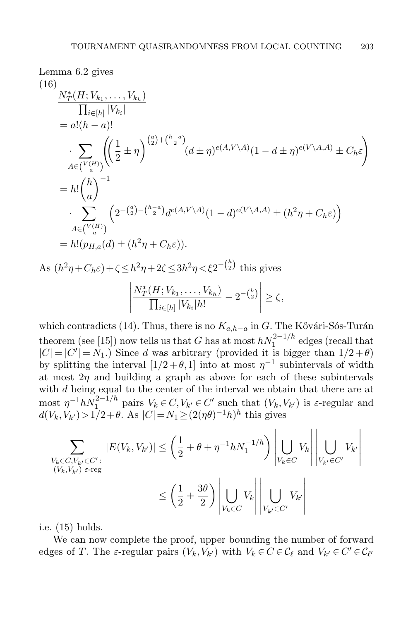Lemma 6.2 gives  
\n(16)  
\n
$$
\frac{N_T^*(H; V_{k_1},..., V_{k_h})}{\prod_{i \in [h]} |V_{k_i}|}
$$
\n
$$
= a!(h - a)!
$$
\n
$$
\sum_{A \in {V(H) \choose a}} \left( \left( \frac{1}{2} \pm \eta \right)^{\binom{a}{2} + \binom{h - a}{2}} (d \pm \eta)^{e(A, V \setminus A)} (1 - d \pm \eta)^{e(V \setminus A, A)} \pm C_h \epsilon \right)
$$
\n
$$
= h! \binom{h}{a}^{-1}
$$
\n
$$
\sum_{A \in {V(H) \choose a}} \left( 2^{-\binom{a}{2} - \binom{h - a}{2}} d^{e(A, V \setminus A)} (1 - d)^{e(V \setminus A, A)} \pm (h^2 \eta + C_h \epsilon) \right)
$$
\n
$$
= h! (p_{H, a}(d) \pm (h^2 \eta + C_h \epsilon)).
$$
\nAs  $(h^2 \eta + C_h \epsilon) + \zeta \le h^2 \eta + 2\zeta \le 3h^2 \eta < \xi 2^{-\binom{h}{2}}$  this gives\n
$$
\left| \frac{N_T^*(H; V_{k_1},..., V_{k_h})}{\prod_{i \in [h]} |V_{k_i}| h!} - 2^{-\binom{h}{2}} \right| \ge \zeta,
$$

which contradicts [\(14\)](#page-27-0). Thus, there is no  $K_{a,h-a}$  in G. The Kővári-Sós-Turán theorem (see [\[15\]](#page-32-21)) now tells us that G has at most  $hN_1^{2-1/h}$  edges (recall that  $|C| = |C'| = N_1$ .) Since d was arbitrary (provided it is bigger than  $1/2 + \theta$ ) by splitting the interval  $[1/2 + \theta, 1]$  into at most  $\eta^{-1}$  subintervals of width at most  $2\eta$  and building a graph as above for each of these subintervals with d being equal to the center of the interval we obtain that there are at most  $\eta^{-1} h N_1^{2-1/h}$  pairs  $V_k \in C, V_{k'} \in C'$  such that  $(V_k, V_{k'})$  is  $\varepsilon$ -regular and  $d(V_k, V_{k'}) > 1/2 + \theta$ . As  $|C| = N_1 \ge (2(\eta \theta)^{-1} h)^h$  this gives

$$
\sum_{\substack{V_k \in C, V_{k'} \in C': \\ (V_k, V_{k'}) \ \varepsilon - \operatorname{reg}}} |E(V_k, V_{k'})| \le \left(\frac{1}{2} + \theta + \eta^{-1} h N_1^{-1/h}\right) \left| \bigcup_{V_k \in C} V_k \right| \left| \bigcup_{V_{k'} \in C'} V_{k'} \right|
$$
  

$$
\le \left(\frac{1}{2} + \frac{3\theta}{2}\right) \left| \bigcup_{V_k \in C} V_k \right| \left| \bigcup_{V_{k'} \in C'} V_{k'} \right|
$$

i.e. [\(15\)](#page-27-1) holds.

We can now complete the proof, upper bounding the number of forward edges of T. The  $\varepsilon$ -regular pairs  $(V_k, V_{k'})$  with  $V_k \in C \in \mathcal{C}_{\ell}$  and  $V_{k'} \in C' \in \mathcal{C}_{\ell'}$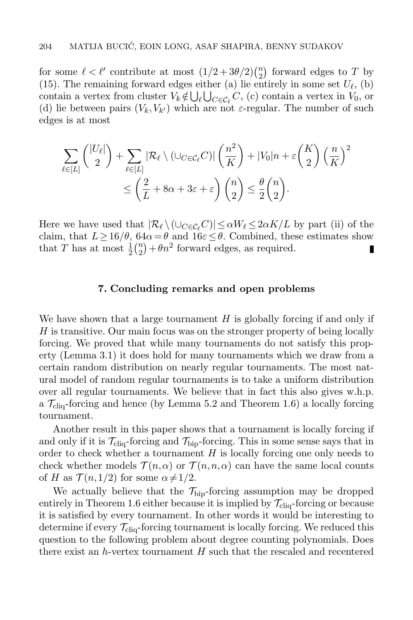for some  $\ell < \ell'$  contribute at most  $(1/2 + 3\theta/2) \binom{n}{2}$  $\binom{n}{2}$  forward edges to T by [\(15\)](#page-27-1). The remaining forward edges either (a) lie entirely in some set  $U_{\ell}$ , (b) contain a vertex from cluster  $V_k \notin \bigcup_{\ell} \bigcup_{C \in \mathcal{C}_{\ell}} C$ , (c) contain a vertex in  $V_0$ , or (d) lie between pairs  $(V_k, V_{k'})$  which are not  $\varepsilon$ -regular. The number of such edges is at most

$$
\sum_{\ell \in [L]} \binom{|U_{\ell}|}{2} + \sum_{\ell \in [L]} |\mathcal{R}_{\ell} \setminus (\cup_{C \in \mathcal{C}_{\ell}} C)| \left(\frac{n^2}{K}\right) + |V_0|n + \varepsilon \binom{K}{2} \left(\frac{n}{K}\right)^2
$$
  

$$
\leq \left(\frac{2}{L} + 8\alpha + 3\varepsilon + \varepsilon\right) \binom{n}{2} \leq \frac{\theta}{2} \binom{n}{2}.
$$

Here we have used that  $|\mathcal{R}_\ell \setminus (\cup_{C \in \mathcal{C}_\ell} C)| \le \alpha W_\ell \le 2\alpha K/L$  by part (ii) of the claim, that  $L \ge 16/\theta$ ,  $64\alpha = \theta$  and  $16\varepsilon \le \theta$ . Combined, these estimates show that T has at most  $\frac{1}{2} \binom{n}{2}$  $n_2(n_2) + \theta n^2$  forward edges, as required. П

#### 7. Concluding remarks and open problems

We have shown that a large tournament  $H$  is globally forcing if and only if  $H$  is transitive. Our main focus was on the stronger property of being locally forcing. We proved that while many tournaments do not satisfy this property (Lemma [3.1\)](#page-9-1) it does hold for many tournaments which we draw from a certain random distribution on nearly regular tournaments. The most natural model of random regular tournaments is to take a uniform distribution over all regular tournaments. We believe that in fact this also gives w.h.p. a  $\mathcal{T}_{\text{clia}}$ -forcing and hence (by Lemma [5.2](#page-20-0) and Theorem [1.6\)](#page-5-0) a locally forcing tournament.

Another result in this paper shows that a tournament is locally forcing if and only if it is  $\mathcal{T}_{\text{cliq}}$ -forcing and  $\mathcal{T}_{\text{bip}}$ -forcing. This in some sense says that in order to check whether a tournament  $H$  is locally forcing one only needs to check whether models  $\mathcal{T}(n,\alpha)$  or  $\mathcal{T}(n,n,\alpha)$  can have the same local counts of H as  $\mathcal{T}(n,1/2)$  for some  $\alpha \neq 1/2$ .

We actually believe that the  $\mathcal{T}_{\text{bip}}$ -forcing assumption may be dropped entirely in Theorem [1.6](#page-5-0) either because it is implied by  $\mathcal{T}_{\text{cliq}}$ -forcing or because it is satisfied by every tournament. In other words it would be interesting to determine if every  $\mathcal{T}_{\text{cliq}}$ -forcing tournament is locally forcing. We reduced this question to the following problem about degree counting polynomials. Does there exist an h-vertex tournament  $H$  such that the rescaled and recentered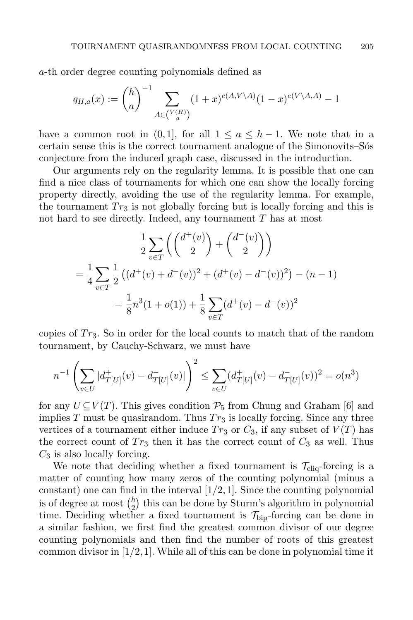a-th order degree counting polynomials defined as

$$
q_{H,a}(x) := \binom{h}{a}^{-1} \sum_{A \in \binom{V(H)}{a}} (1+x)^{e(A,V \setminus A)} (1-x)^{e(V \setminus A,A)} - 1
$$

have a common root in  $(0,1]$ , for all  $1 \le a \le h-1$ . We note that in a certain sense this is the correct tournament analogue of the Simonovits–Sote conjecture from the induced graph case, discussed in the introduction.

Our arguments rely on the regularity lemma. It is possible that one can find a nice class of tournaments for which one can show the locally forcing property directly, avoiding the use of the regularity lemma. For example, the tournament  $Tr_3$  is not globally forcing but is locally forcing and this is not hard to see directly. Indeed, any tournament T has at most

$$
\frac{1}{2} \sum_{v \in T} \left( \binom{d^+(v)}{2} + \binom{d^-(v)}{2} \right)
$$
\n
$$
= \frac{1}{4} \sum_{v \in T} \frac{1}{2} \left( (d^+(v) + d^-(v))^2 + (d^+(v) - d^-(v))^2 \right) - (n - 1)
$$
\n
$$
= \frac{1}{8} n^3 (1 + o(1)) + \frac{1}{8} \sum_{v \in T} (d^+(v) - d^-(v))^2
$$

copies of  $Tr_3$ . So in order for the local counts to match that of the random tournament, by Cauchy-Schwarz, we must have

$$
n^{-1} \left( \sum_{v \in U} |d^+_{T[U]}(v) - d^-_{T[U]}(v)| \right)^2 \le \sum_{v \in U} (d^+_{T[U]}(v) - d^-_{T[U]}(v))^2 = o(n^3)
$$

for any  $U\subset V(T)$ . This gives condition  $\mathcal{P}_5$  from Chung and Graham [\[6\]](#page-31-3) and implies T must be quasirandom. Thus  $Tr_3$  is locally forcing. Since any three vertices of a tournament either induce  $Tr_3$  or  $C_3$ , if any subset of  $V(T)$  has the correct count of  $Tr_3$  then it has the correct count of  $C_3$  as well. Thus  $C_3$  is also locally forcing.

We note that deciding whether a fixed tournament is  $\mathcal{T}_{\text{cliq}}$ -forcing is a matter of counting how many zeros of the counting polynomial (minus a constant) one can find in the interval  $[1/2,1]$ . Since the counting polynomial is of degree at most  $\binom{h}{2}$  $\binom{h}{2}$  this can be done by Sturm's algorithm in polynomial time. Deciding whether a fixed tournament is  $\mathcal{T}_{\text{bio}}$ -forcing can be done in a similar fashion, we first find the greatest common divisor of our degree counting polynomials and then find the number of roots of this greatest common divisor in  $[1/2,1]$ . While all of this can be done in polynomial time it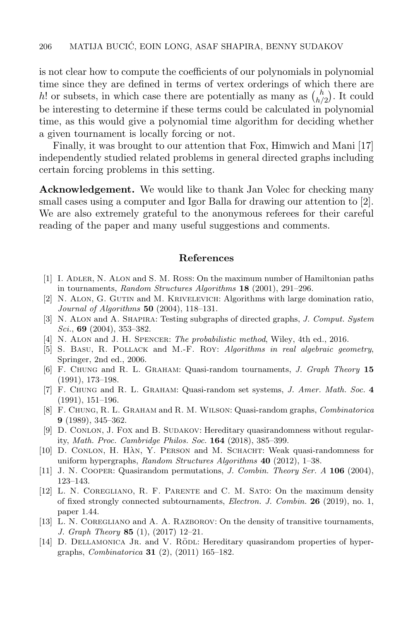is not clear how to compute the coefficients of our polynomials in polynomial time since they are defined in terms of vertex orderings of which there are h! or subsets, in which case there are potentially as many as  $\binom{h}{h}$  $\binom{n}{h/2}$ . It could be interesting to determine if these terms could be calculated in polynomial time, as this would give a polynomial time algorithm for deciding whether a given tournament is locally forcing or not.

Finally, it was brought to our attention that Fox, Himwich and Mani [\[17\]](#page-32-22) independently studied related problems in general directed graphs including certain forcing problems in this setting.

Acknowledgement. We would like to thank Jan Volec for checking many small cases using a computer and Igor Balla for drawing our attention to [\[2\]](#page-31-11). We are also extremely grateful to the anonymous referees for their careful reading of the paper and many useful suggestions and comments.

#### References

- <span id="page-31-12"></span>[1] I. Adler, N. Alon and S. M. Ross: On the maximum number of Hamiltonian paths in tournaments, Random Structures Algorithms 18 (2001), 291–296.
- <span id="page-31-11"></span>[2] N. Alon, G. Gutin and M. Krivelevich: Algorithms with large domination ratio, Journal of Algorithms  $50$  (2004), 118–131.
- <span id="page-31-13"></span>[3] N. Alon and A. Shapira: Testing subgraphs of directed graphs, J. Comput. System  $Sci.$ , 69 (2004), 353–382.
- <span id="page-31-10"></span>[4] N. Alon and J. H. Spencer: The probabilistic method, Wiley, 4th ed., 2016.
- <span id="page-31-9"></span>[5] S. Basu, R. Pollack and M.-F. Roy: Algorithms in real algebraic geometry, Springer, 2nd ed., 2006.
- <span id="page-31-3"></span>[6] F. Chung and R. L. Graham: Quasi-random tournaments, J. Graph Theory 15 (1991), 173–198.
- <span id="page-31-1"></span>[7] F. Chung and R. L. Graham: Quasi-random set systems, J. Amer. Math. Soc. 4 (1991), 151–196.
- <span id="page-31-0"></span>[8] F. Chung, R. L. Graham and R. M. Wilson: Quasi-random graphs, Combinatorica 9 (1989), 345–362.
- <span id="page-31-8"></span>[9] D. Conlon, J. Fox and B. Sudakov: Hereditary quasirandomness without regularity, Math. Proc. Cambridge Philos. Soc. 164 (2018), 385–399.
- <span id="page-31-6"></span>[10] D. CONLON, H. HAN, Y. PERSON and M. SCHACHT: Weak quasi-randomness for uniform hypergraphs, Random Structures Algorithms 40 (2012), 1-38.
- <span id="page-31-2"></span>[11] J. N. Cooper: Quasirandom permutations, J. Combin. Theory Ser. A 106 (2004), 123–143.
- <span id="page-31-5"></span>[12] L. N. Coregliano, R. F. Parente and C. M. Sato: On the maximum density of fixed strongly connected subtournaments, Electron. J. Combin. 26 (2019), no. 1, paper 1.44.
- <span id="page-31-4"></span>[13] L. N. Coregliano and A. A. Razborov: On the density of transitive tournaments, J. Graph Theory 85 (1), (2017) 12–21.
- <span id="page-31-7"></span>[14] D. DELLAMONICA JR. and V. RÖDL: Hereditary quasirandom properties of hypergraphs, Combinatorica 31 (2), (2011) 165–182.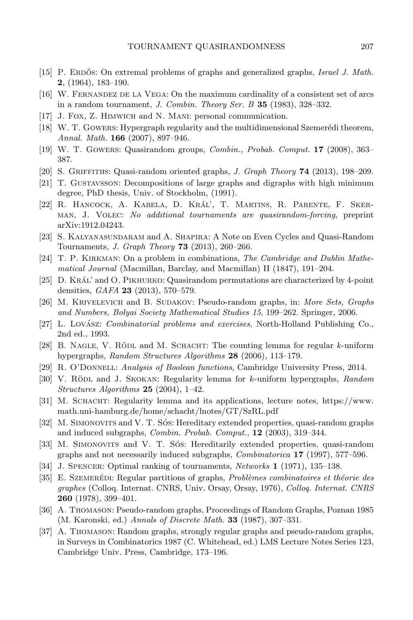- <span id="page-32-21"></span>[15] P. ERDOS: On extremal problems of graphs and generalized graphs, *Israel J. Math.* 2, (1964), 183–190.
- <span id="page-32-16"></span>[16] W. Fernandez de la Vega: On the maximum cardinality of a consistent set of arcs in a random tournament, J. Combin. Theory Ser. B  $35$  (1983), 328-332.
- <span id="page-32-22"></span>[17] J. Fox, Z. HIMWICH and N. MANI: personal communication.
- <span id="page-32-2"></span>[18] W. T. GOWERS: Hypergraph regularity and the multidimensional Szemerédi theorem, Annal. Math. **166** (2007), 897-946.
- <span id="page-32-6"></span>[19] W. T. Gowers: Quasirandom groups, Combin., Probab. Comput. 17 (2008), 363– 387.
- <span id="page-32-8"></span>[20] S. GRIFFITHS: Quasi-random oriented graphs, J. Graph Theory **74** (2013), 198–209.
- <span id="page-32-18"></span>[21] T. Gustavsson: Decompositions of large graphs and digraphs with high minimum degree, PhD thesis, Univ. of Stockholm, (1991).
- <span id="page-32-11"></span>[22] R. HANCOCK, A. KABELA, D. KRÁL', T. MARTINS, R. PARENTE, F. SKERman, J. Volec: No additional tournaments are quasirandom-forcing, preprint [arXiv:1912.04243.](https://arxiv.org/abs/1912.04243)
- <span id="page-32-9"></span>[23] S. Kalyanasundaram and A. Shapira: A Note on Even Cycles and Quasi-Random Tournaments, J. Graph Theory 73 (2013), 260–266.
- <span id="page-32-14"></span>[24] T. P. Kirkman: On a problem in combinations, The Cambridge and Dublin Mathematical Journal (Macmillan, Barclay, and Macmillan) II (1847), 191–204.
- <span id="page-32-5"></span>[25] D. KRÁL' and O. PIKHURKO: Quasirandom permutations are characterized by 4-point densities,  $GAFA$  **23** (2013), 570–579.
- <span id="page-32-7"></span>[26] M. KRIVELEVICH and B. SUDAKOV: Pseudo-random graphs, in: More Sets, Graphs and Numbers, Bolyai Society Mathematical Studies 15, 199–262. Springer, 2006.
- <span id="page-32-10"></span>[27] L. Lovász: *Combinatorial problems and exercises*, North-Holland Publishing Co., 2nd ed., 1993.
- <span id="page-32-3"></span>[28] B. NAGLE, V. RÖDL and M. SCHACHT: The counting lemma for regular  $k$ -uniform hypergraphs, Random Structures Algorithms 28 (2006), 113-179.
- <span id="page-32-17"></span>[29] R. O'Donnell: Analysis of Boolean functions, Cambridge University Press, 2014.
- <span id="page-32-4"></span>[30] V. RÖDL and J. SKOKAN: Regularity lemma for k-uniform hypergraphs, Random Structures Algorithms 25 (2004), 1–42.
- <span id="page-32-20"></span>[31] M. Schacht: Regularity lemma and its applications, lecture notes, [https://www.](https://www.math.uni-hamburg.de/home/schacht/lnotes/GT/SzRL.pdf) [math.uni-hamburg.de/home/schacht/lnotes/GT/SzRL.pdf](https://www.math.uni-hamburg.de/home/schacht/lnotes/GT/SzRL.pdf)
- <span id="page-32-12"></span>[32] M. SIMONOVITS and V. T. SOS: Hereditary extended properties, quasi-random graphs and induced subgraphs, Combin. Probab. Comput., 12 (2003), 319–344.
- <span id="page-32-13"></span>[33] M. SIMONOVITS and V. T. SÓS: Hereditarily extended properties, quasi-random graphs and not necessarily induced subgraphs, Combinatorica 17 (1997), 577–596.
- <span id="page-32-15"></span>[34] J. SPENCER: Optimal ranking of tournaments, *Networks* 1 (1971), 135–138.
- <span id="page-32-19"></span>[35] E. SZEMERÉDI: Regular partitions of graphs, *Problèmes combinatoires et théorie des* graphes (Colloq. Internat. CNRS, Univ. Orsay, Orsay, 1976), Colloq. Internat. CNRS 260 (1978), 399–401.
- <span id="page-32-1"></span>[36] A. Thomason: Pseudo-random graphs, Proceedings of Random Graphs, Poznan 1985 (M. Karonski, ed.) Annals of Discrete Math. **33** (1987), 307–331.
- <span id="page-32-0"></span>[37] A. Thomason: Random graphs, strongly regular graphs and pseudo-random graphs, in Surveys in Combinatorics 1987 (C. Whitehead, ed.) LMS Lecture Notes Series 123, Cambridge Univ. Press, Cambridge, 173–196.